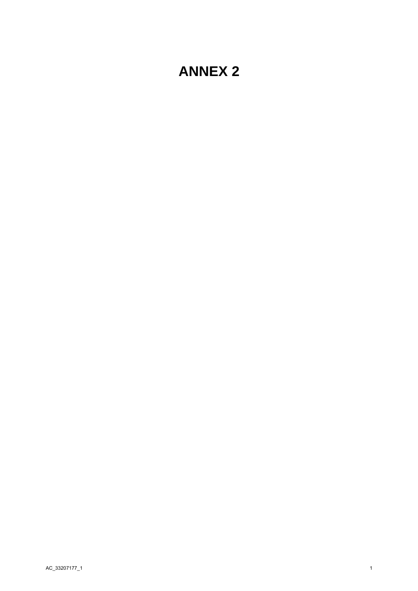# **ANNEX 2**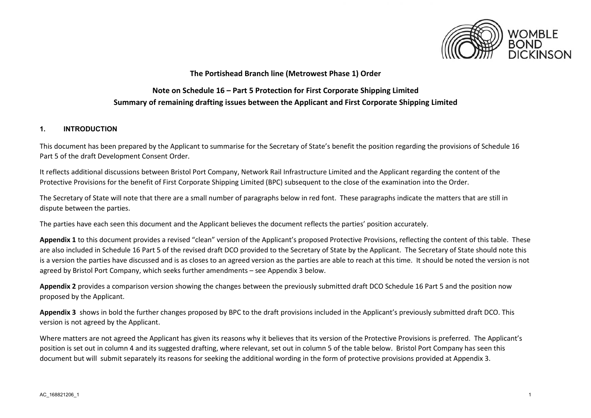

## **The Portishead Branch line (Metrowest Phase 1) Order**

## **Note on Schedule 16 – Part 5 Protection for First Corporate Shipping Limited Summary of remaining drafting issues between the Applicant and First Corporate Shipping Limited**

## **1. INTRODUCTION**

This document has been prepared by the Applicant to summarise for the Secretary of State's benefit the position regarding the provisions of Schedule 16 Part 5 of the draft Development Consent Order.

It reflects additional discussions between Bristol Port Company, Network Rail Infrastructure Limited and the Applicant regarding the content of the Protective Provisions for the benefit of First Corporate Shipping Limited (BPC) subsequent to the close of the examination into the Order.

The Secretary of State will note that there are a small number of paragraphs below in red font. These paragraphs indicate the matters that are still in dispute between the parties.

The parties have each seen this document and the Applicant believes the document reflects the parties' position accurately.

**Appendix 1** to this document provides a revised "clean" version of the Applicant's proposed Protective Provisions, reflecting the content of this table. These are also included in Schedule 16 Part 5 of the revised draft DCO provided to the Secretary of State by the Applicant. The Secretary of State should note this is a version the parties have discussed and is as closes to an agreed version as the parties are able to reach at this time. It should be noted the version is not agreed by Bristol Port Company, which seeks further amendments – see Appendix 3 below.

**Appendix 2** provides a comparison version showing the changes between the previously submitted draft DCO Schedule 16 Part 5 and the position now proposed by the Applicant.

**Appendix 3** shows in bold the further changes proposed by BPC to the draft provisions included in the Applicant's previously submitted draft DCO. This version is not agreed by the Applicant.

Where matters are not agreed the Applicant has given its reasons why it believes that its version of the Protective Provisions is preferred. The Applicant's position is set out in column 4 and its suggested drafting, where relevant, set out in column 5 of the table below. Bristol Port Company has seen this document but will submit separately its reasons for seeking the additional wording in the form of protective provisions provided at Appendix 3.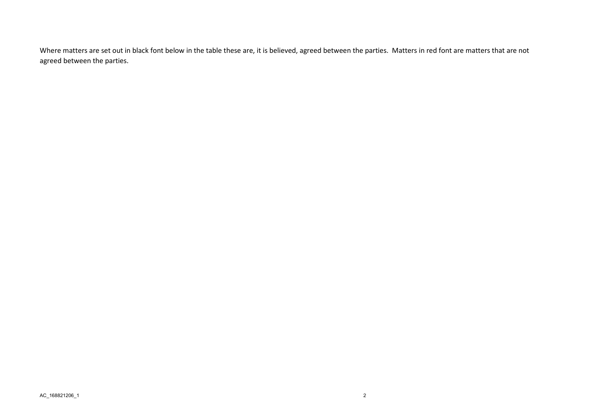Where matters are set out in black font below in the table these are, it is believed, agreed between the parties. Matters in red font are matters that are not agreed between the parties.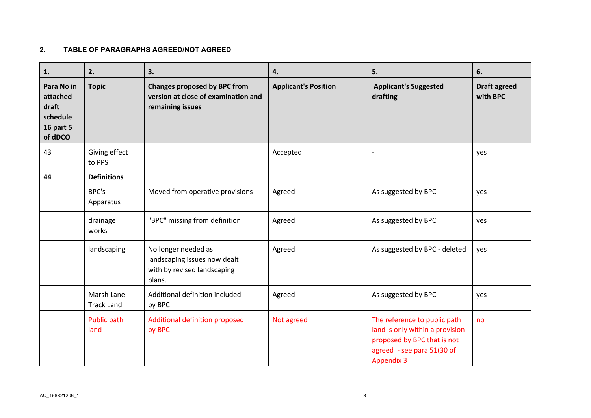## **2. TABLE OF PARAGRAPHS AGREED/NOT AGREED**

| 1.                                                                         | 2.                              | 3.                                                                                             | 4.                          | 5.                                                                                                                                                | 6.                              |
|----------------------------------------------------------------------------|---------------------------------|------------------------------------------------------------------------------------------------|-----------------------------|---------------------------------------------------------------------------------------------------------------------------------------------------|---------------------------------|
| Para No in<br>attached<br>draft<br>schedule<br><b>16 part 5</b><br>of dDCO | <b>Topic</b>                    | <b>Changes proposed by BPC from</b><br>version at close of examination and<br>remaining issues | <b>Applicant's Position</b> | <b>Applicant's Suggested</b><br>drafting                                                                                                          | <b>Draft agreed</b><br>with BPC |
| 43                                                                         | Giving effect<br>to PPS         |                                                                                                | Accepted                    | $\overline{\phantom{a}}$                                                                                                                          | yes                             |
| 44                                                                         | <b>Definitions</b>              |                                                                                                |                             |                                                                                                                                                   |                                 |
|                                                                            | BPC's<br>Apparatus              | Moved from operative provisions                                                                | Agreed                      | As suggested by BPC                                                                                                                               | yes                             |
|                                                                            | drainage<br>works               | "BPC" missing from definition                                                                  | Agreed                      | As suggested by BPC                                                                                                                               | yes                             |
|                                                                            | landscaping                     | No longer needed as<br>landscaping issues now dealt<br>with by revised landscaping<br>plans.   | Agreed                      | As suggested by BPC - deleted                                                                                                                     | yes                             |
|                                                                            | Marsh Lane<br><b>Track Land</b> | Additional definition included<br>by BPC                                                       | Agreed                      | As suggested by BPC                                                                                                                               | yes                             |
|                                                                            | Public path<br>land             | Additional definition proposed<br>by BPC                                                       | Not agreed                  | The reference to public path<br>land is only within a provision<br>proposed by BPC that is not<br>agreed - see para 51(30 of<br><b>Appendix 3</b> | no                              |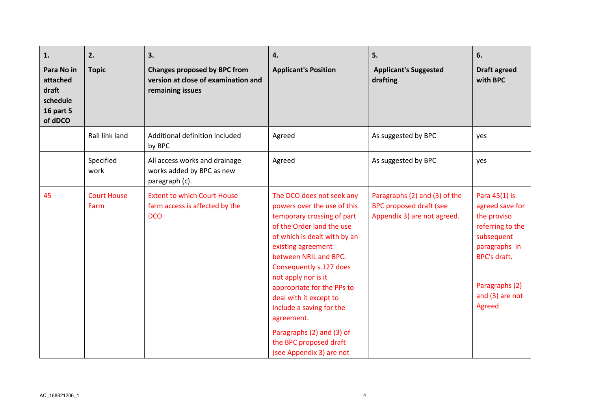| 1.                                                                         | 2.                         | 3.                                                                                             | 4.                                                                                                                                                                                                                                                                                                                                                                                                                                        | 5.                                                                                             | 6.                                                                                                                                                                       |
|----------------------------------------------------------------------------|----------------------------|------------------------------------------------------------------------------------------------|-------------------------------------------------------------------------------------------------------------------------------------------------------------------------------------------------------------------------------------------------------------------------------------------------------------------------------------------------------------------------------------------------------------------------------------------|------------------------------------------------------------------------------------------------|--------------------------------------------------------------------------------------------------------------------------------------------------------------------------|
| Para No in<br>attached<br>draft<br>schedule<br><b>16 part 5</b><br>of dDCO | <b>Topic</b>               | <b>Changes proposed by BPC from</b><br>version at close of examination and<br>remaining issues | <b>Applicant's Position</b>                                                                                                                                                                                                                                                                                                                                                                                                               | <b>Applicant's Suggested</b><br>drafting                                                       | <b>Draft agreed</b><br>with BPC                                                                                                                                          |
|                                                                            | Rail link land             | Additional definition included<br>by BPC                                                       | Agreed                                                                                                                                                                                                                                                                                                                                                                                                                                    | As suggested by BPC                                                                            | yes                                                                                                                                                                      |
|                                                                            | Specified<br>work          | All access works and drainage<br>works added by BPC as new<br>paragraph (c).                   | Agreed                                                                                                                                                                                                                                                                                                                                                                                                                                    | As suggested by BPC                                                                            | yes                                                                                                                                                                      |
| 45                                                                         | <b>Court House</b><br>Farm | <b>Extent to which Court House</b><br>farm access is affected by the<br><b>DCO</b>             | The DCO does not seek any<br>powers over the use of this<br>temporary crossing of part<br>of the Order land the use<br>of which is dealt with by an<br>existing agreement<br>between NRIL and BPC.<br>Consequently s.127 does<br>not apply nor is it<br>appropriate for the PPs to<br>deal with it except to<br>include a saving for the<br>agreement.<br>Paragraphs (2) and (3) of<br>the BPC proposed draft<br>(see Appendix 3) are not | Paragraphs (2) and (3) of the<br><b>BPC proposed draft (see</b><br>Appendix 3) are not agreed. | Para 45(1) is<br>agreed save for<br>the proviso<br>referring to the<br>subsequent<br>paragraphs in<br><b>BPC's draft.</b><br>Paragraphs (2)<br>and (3) are not<br>Agreed |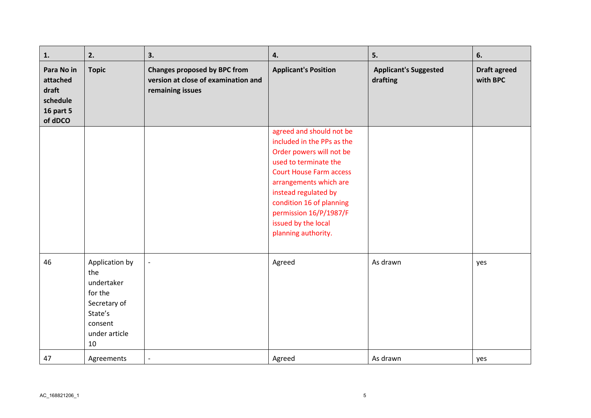| 1.                                                                         | 2.                                                                                                          | 3.                                                                                             | 4.                                                                                                                                                                                                                                                                                                  | 5.                                       | 6.                              |
|----------------------------------------------------------------------------|-------------------------------------------------------------------------------------------------------------|------------------------------------------------------------------------------------------------|-----------------------------------------------------------------------------------------------------------------------------------------------------------------------------------------------------------------------------------------------------------------------------------------------------|------------------------------------------|---------------------------------|
| Para No in<br>attached<br>draft<br>schedule<br><b>16 part 5</b><br>of dDCO | <b>Topic</b>                                                                                                | <b>Changes proposed by BPC from</b><br>version at close of examination and<br>remaining issues | <b>Applicant's Position</b>                                                                                                                                                                                                                                                                         | <b>Applicant's Suggested</b><br>drafting | <b>Draft agreed</b><br>with BPC |
|                                                                            |                                                                                                             |                                                                                                | agreed and should not be<br>included in the PPs as the<br>Order powers will not be<br>used to terminate the<br><b>Court House Farm access</b><br>arrangements which are<br>instead regulated by<br>condition 16 of planning<br>permission 16/P/1987/F<br>issued by the local<br>planning authority. |                                          |                                 |
| 46                                                                         | Application by<br>the<br>undertaker<br>for the<br>Secretary of<br>State's<br>consent<br>under article<br>10 | $\overline{\phantom{a}}$                                                                       | Agreed                                                                                                                                                                                                                                                                                              | As drawn                                 | yes                             |
| 47                                                                         | Agreements                                                                                                  | $\overline{\phantom{a}}$                                                                       | Agreed                                                                                                                                                                                                                                                                                              | As drawn                                 | yes                             |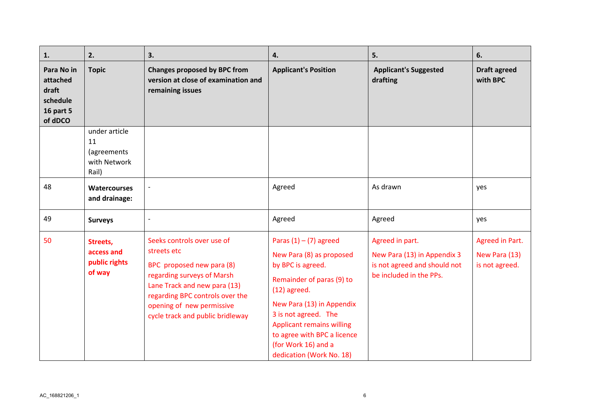| 1.                                                                         | 2.                                                          | 3.                                                                                                                                                                                                                                       | 4.                                                                                                                                                                                                                                                                                                  | 5.                                                                                                        | 6.                                                 |
|----------------------------------------------------------------------------|-------------------------------------------------------------|------------------------------------------------------------------------------------------------------------------------------------------------------------------------------------------------------------------------------------------|-----------------------------------------------------------------------------------------------------------------------------------------------------------------------------------------------------------------------------------------------------------------------------------------------------|-----------------------------------------------------------------------------------------------------------|----------------------------------------------------|
| Para No in<br>attached<br>draft<br>schedule<br><b>16 part 5</b><br>of dDCO | <b>Topic</b>                                                | <b>Changes proposed by BPC from</b><br>version at close of examination and<br>remaining issues                                                                                                                                           | <b>Applicant's Position</b>                                                                                                                                                                                                                                                                         | <b>Applicant's Suggested</b><br>drafting                                                                  | <b>Draft agreed</b><br>with BPC                    |
|                                                                            | under article<br>11<br>(agreements<br>with Network<br>Rail) |                                                                                                                                                                                                                                          |                                                                                                                                                                                                                                                                                                     |                                                                                                           |                                                    |
| 48                                                                         | <b>Watercourses</b><br>and drainage:                        | $\overline{\phantom{a}}$                                                                                                                                                                                                                 | Agreed                                                                                                                                                                                                                                                                                              | As drawn                                                                                                  | yes                                                |
| 49                                                                         | <b>Surveys</b>                                              | $\overline{\phantom{a}}$                                                                                                                                                                                                                 | Agreed                                                                                                                                                                                                                                                                                              | Agreed                                                                                                    | yes                                                |
| 50                                                                         | Streets,<br>access and<br>public rights<br>of way           | Seeks controls over use of<br>streets etc<br>BPC proposed new para (8)<br>regarding surveys of Marsh<br>Lane Track and new para (13)<br>regarding BPC controls over the<br>opening of new permissive<br>cycle track and public bridleway | Paras $(1) - (7)$ agreed<br>New Para (8) as proposed<br>by BPC is agreed.<br>Remainder of paras (9) to<br>$(12)$ agreed.<br>New Para (13) in Appendix<br>3 is not agreed. The<br><b>Applicant remains willing</b><br>to agree with BPC a licence<br>(for Work 16) and a<br>dedication (Work No. 18) | Agreed in part.<br>New Para (13) in Appendix 3<br>is not agreed and should not<br>be included in the PPs. | Agreed in Part.<br>New Para (13)<br>is not agreed. |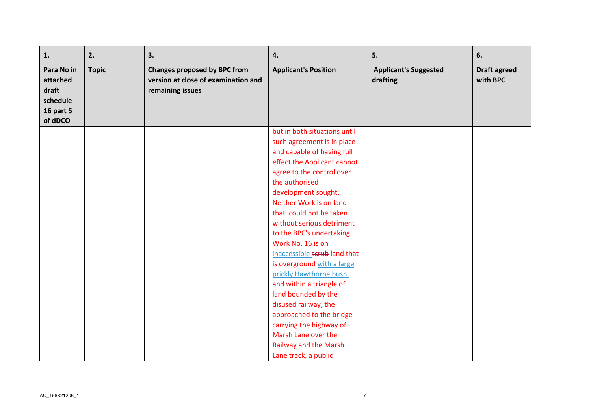| 1.                                                                         | 2.           | 3.                                                                                             | 4.                           | 5.                                       | 6.                              |
|----------------------------------------------------------------------------|--------------|------------------------------------------------------------------------------------------------|------------------------------|------------------------------------------|---------------------------------|
| Para No in<br>attached<br>draft<br>schedule<br><b>16 part 5</b><br>of dDCO | <b>Topic</b> | <b>Changes proposed by BPC from</b><br>version at close of examination and<br>remaining issues | <b>Applicant's Position</b>  | <b>Applicant's Suggested</b><br>drafting | <b>Draft agreed</b><br>with BPC |
|                                                                            |              |                                                                                                | but in both situations until |                                          |                                 |
|                                                                            |              |                                                                                                | such agreement is in place   |                                          |                                 |
|                                                                            |              |                                                                                                | and capable of having full   |                                          |                                 |
|                                                                            |              |                                                                                                | effect the Applicant cannot  |                                          |                                 |
|                                                                            |              |                                                                                                | agree to the control over    |                                          |                                 |
|                                                                            |              |                                                                                                | the authorised               |                                          |                                 |
|                                                                            |              |                                                                                                | development sought.          |                                          |                                 |
|                                                                            |              |                                                                                                | Neither Work is on land      |                                          |                                 |
|                                                                            |              |                                                                                                | that could not be taken      |                                          |                                 |
|                                                                            |              |                                                                                                | without serious detriment    |                                          |                                 |
|                                                                            |              |                                                                                                | to the BPC's undertaking.    |                                          |                                 |
|                                                                            |              |                                                                                                | Work No. 16 is on            |                                          |                                 |
|                                                                            |              |                                                                                                | inaccessible scrub land that |                                          |                                 |
|                                                                            |              |                                                                                                | is overground with a large   |                                          |                                 |
|                                                                            |              |                                                                                                | prickly Hawthorne bush.      |                                          |                                 |
|                                                                            |              |                                                                                                | and within a triangle of     |                                          |                                 |
|                                                                            |              |                                                                                                | land bounded by the          |                                          |                                 |
|                                                                            |              |                                                                                                | disused railway, the         |                                          |                                 |
|                                                                            |              |                                                                                                | approached to the bridge     |                                          |                                 |
|                                                                            |              |                                                                                                | carrying the highway of      |                                          |                                 |
|                                                                            |              |                                                                                                | Marsh Lane over the          |                                          |                                 |
|                                                                            |              |                                                                                                | <b>Railway and the Marsh</b> |                                          |                                 |
|                                                                            |              |                                                                                                | Lane track, a public         |                                          |                                 |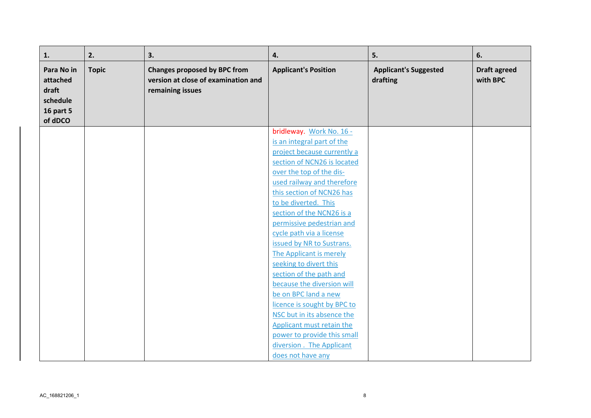| 1.                                                                         | 2.           | 3.                                                                                             | 4.                                                        | 5.                                       | 6.                              |
|----------------------------------------------------------------------------|--------------|------------------------------------------------------------------------------------------------|-----------------------------------------------------------|------------------------------------------|---------------------------------|
| Para No in<br>attached<br>draft<br>schedule<br><b>16 part 5</b><br>of dDCO | <b>Topic</b> | <b>Changes proposed by BPC from</b><br>version at close of examination and<br>remaining issues | <b>Applicant's Position</b>                               | <b>Applicant's Suggested</b><br>drafting | <b>Draft agreed</b><br>with BPC |
|                                                                            |              |                                                                                                | bridleway. Work No. 16 -                                  |                                          |                                 |
|                                                                            |              |                                                                                                | is an integral part of the                                |                                          |                                 |
|                                                                            |              |                                                                                                | project because currently a                               |                                          |                                 |
|                                                                            |              |                                                                                                | section of NCN26 is located                               |                                          |                                 |
|                                                                            |              |                                                                                                | over the top of the dis-                                  |                                          |                                 |
|                                                                            |              |                                                                                                | used railway and therefore                                |                                          |                                 |
|                                                                            |              |                                                                                                | this section of NCN26 has                                 |                                          |                                 |
|                                                                            |              |                                                                                                | to be diverted. This                                      |                                          |                                 |
|                                                                            |              |                                                                                                | section of the NCN26 is a                                 |                                          |                                 |
|                                                                            |              |                                                                                                | permissive pedestrian and                                 |                                          |                                 |
|                                                                            |              |                                                                                                | cycle path via a license                                  |                                          |                                 |
|                                                                            |              |                                                                                                | issued by NR to Sustrans.                                 |                                          |                                 |
|                                                                            |              |                                                                                                | The Applicant is merely                                   |                                          |                                 |
|                                                                            |              |                                                                                                | seeking to divert this                                    |                                          |                                 |
|                                                                            |              |                                                                                                | section of the path and                                   |                                          |                                 |
|                                                                            |              |                                                                                                | because the diversion will                                |                                          |                                 |
|                                                                            |              |                                                                                                | be on BPC land a new                                      |                                          |                                 |
|                                                                            |              |                                                                                                | licence is sought by BPC to<br>NSC but in its absence the |                                          |                                 |
|                                                                            |              |                                                                                                | Applicant must retain the                                 |                                          |                                 |
|                                                                            |              |                                                                                                | power to provide this small                               |                                          |                                 |
|                                                                            |              |                                                                                                | diversion. The Applicant                                  |                                          |                                 |
|                                                                            |              |                                                                                                |                                                           |                                          |                                 |
|                                                                            |              |                                                                                                | does not have any                                         |                                          |                                 |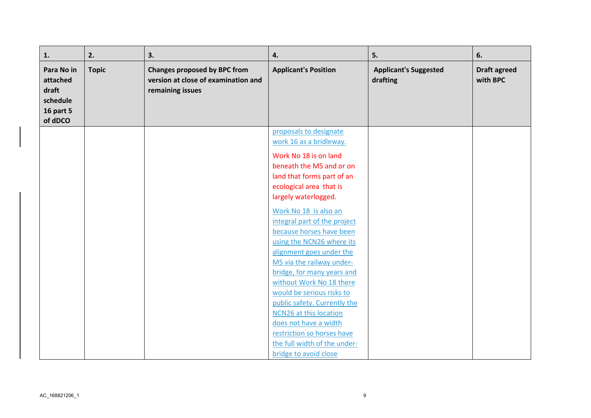| 1.                                                                         | 2.           | 3.                                                                                             | 4.                                                                                                                                                                     | 5.                                       | 6.                              |
|----------------------------------------------------------------------------|--------------|------------------------------------------------------------------------------------------------|------------------------------------------------------------------------------------------------------------------------------------------------------------------------|------------------------------------------|---------------------------------|
| Para No in<br>attached<br>draft<br>schedule<br><b>16 part 5</b><br>of dDCO | <b>Topic</b> | <b>Changes proposed by BPC from</b><br>version at close of examination and<br>remaining issues | <b>Applicant's Position</b>                                                                                                                                            | <b>Applicant's Suggested</b><br>drafting | <b>Draft agreed</b><br>with BPC |
|                                                                            |              |                                                                                                | proposals to designate<br>work 16 as a bridleway.                                                                                                                      |                                          |                                 |
|                                                                            |              |                                                                                                | Work No 18 is on land<br>beneath the M5 and or on<br>land that forms part of an<br>ecological area that is<br>largely waterlogged.                                     |                                          |                                 |
|                                                                            |              |                                                                                                | Work No 18 is also an<br>integral part of the project<br>because horses have been<br>using the NCN26 where its<br>alignment goes under the                             |                                          |                                 |
|                                                                            |              |                                                                                                | M5 via the railway under-<br>bridge, for many years and<br>without Work No 18 there<br>would be serious risks to                                                       |                                          |                                 |
|                                                                            |              |                                                                                                | public safety. Currently the<br>NCN26 at this location<br>does not have a width<br>restriction so horses have<br>the full width of the under-<br>bridge to avoid close |                                          |                                 |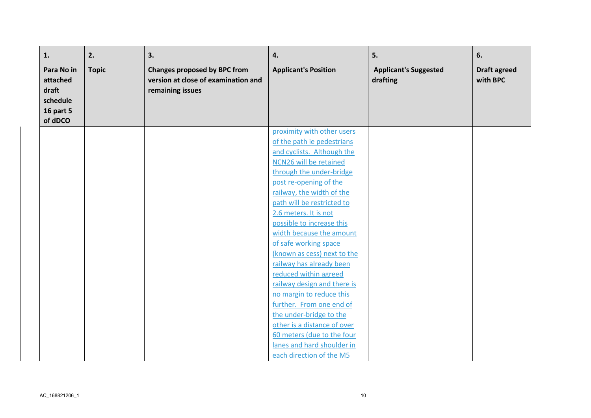| 1.                                                                  | 2.           | 3.                                                                                             | 4.                                                  | 5.                                       | 6.                              |
|---------------------------------------------------------------------|--------------|------------------------------------------------------------------------------------------------|-----------------------------------------------------|------------------------------------------|---------------------------------|
| Para No in<br>attached<br>draft<br>schedule<br>16 part 5<br>of dDCO | <b>Topic</b> | <b>Changes proposed by BPC from</b><br>version at close of examination and<br>remaining issues | <b>Applicant's Position</b>                         | <b>Applicant's Suggested</b><br>drafting | <b>Draft agreed</b><br>with BPC |
|                                                                     |              |                                                                                                | proximity with other users                          |                                          |                                 |
|                                                                     |              |                                                                                                | of the path ie pedestrians                          |                                          |                                 |
|                                                                     |              |                                                                                                | and cyclists. Although the                          |                                          |                                 |
|                                                                     |              |                                                                                                | NCN26 will be retained                              |                                          |                                 |
|                                                                     |              |                                                                                                | through the under-bridge                            |                                          |                                 |
|                                                                     |              |                                                                                                | post re-opening of the                              |                                          |                                 |
|                                                                     |              |                                                                                                | railway, the width of the                           |                                          |                                 |
|                                                                     |              |                                                                                                | path will be restricted to                          |                                          |                                 |
|                                                                     |              |                                                                                                | 2.6 meters. It is not                               |                                          |                                 |
|                                                                     |              |                                                                                                | possible to increase this                           |                                          |                                 |
|                                                                     |              |                                                                                                | width because the amount                            |                                          |                                 |
|                                                                     |              |                                                                                                | of safe working space                               |                                          |                                 |
|                                                                     |              |                                                                                                | (known as cess) next to the                         |                                          |                                 |
|                                                                     |              |                                                                                                | railway has already been                            |                                          |                                 |
|                                                                     |              |                                                                                                | reduced within agreed                               |                                          |                                 |
|                                                                     |              |                                                                                                | railway design and there is                         |                                          |                                 |
|                                                                     |              |                                                                                                | no margin to reduce this                            |                                          |                                 |
|                                                                     |              |                                                                                                | further. From one end of<br>the under-bridge to the |                                          |                                 |
|                                                                     |              |                                                                                                | other is a distance of over                         |                                          |                                 |
|                                                                     |              |                                                                                                | 60 meters (due to the four                          |                                          |                                 |
|                                                                     |              |                                                                                                | lanes and hard shoulder in                          |                                          |                                 |
|                                                                     |              |                                                                                                | each direction of the M5                            |                                          |                                 |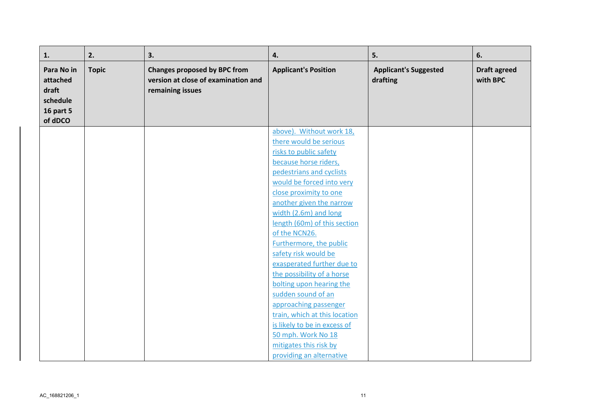| 1.                                                                  | 2.           | 3.                                                                                             | 4.                                                     | 5.                                       | 6.                              |
|---------------------------------------------------------------------|--------------|------------------------------------------------------------------------------------------------|--------------------------------------------------------|------------------------------------------|---------------------------------|
| Para No in<br>attached<br>draft<br>schedule<br>16 part 5<br>of dDCO | <b>Topic</b> | <b>Changes proposed by BPC from</b><br>version at close of examination and<br>remaining issues | <b>Applicant's Position</b>                            | <b>Applicant's Suggested</b><br>drafting | <b>Draft agreed</b><br>with BPC |
|                                                                     |              |                                                                                                | above). Without work 18,                               |                                          |                                 |
|                                                                     |              |                                                                                                | there would be serious                                 |                                          |                                 |
|                                                                     |              |                                                                                                | risks to public safety                                 |                                          |                                 |
|                                                                     |              |                                                                                                | because horse riders,                                  |                                          |                                 |
|                                                                     |              |                                                                                                | pedestrians and cyclists                               |                                          |                                 |
|                                                                     |              |                                                                                                | would be forced into very                              |                                          |                                 |
|                                                                     |              |                                                                                                | close proximity to one                                 |                                          |                                 |
|                                                                     |              |                                                                                                | another given the narrow                               |                                          |                                 |
|                                                                     |              |                                                                                                | width (2.6m) and long                                  |                                          |                                 |
|                                                                     |              |                                                                                                | length (60m) of this section                           |                                          |                                 |
|                                                                     |              |                                                                                                | of the NCN26.                                          |                                          |                                 |
|                                                                     |              |                                                                                                | Furthermore, the public                                |                                          |                                 |
|                                                                     |              |                                                                                                | safety risk would be                                   |                                          |                                 |
|                                                                     |              |                                                                                                | exasperated further due to                             |                                          |                                 |
|                                                                     |              |                                                                                                | the possibility of a horse                             |                                          |                                 |
|                                                                     |              |                                                                                                | bolting upon hearing the<br>sudden sound of an         |                                          |                                 |
|                                                                     |              |                                                                                                |                                                        |                                          |                                 |
|                                                                     |              |                                                                                                | approaching passenger<br>train, which at this location |                                          |                                 |
|                                                                     |              |                                                                                                | is likely to be in excess of                           |                                          |                                 |
|                                                                     |              |                                                                                                | 50 mph. Work No 18                                     |                                          |                                 |
|                                                                     |              |                                                                                                | mitigates this risk by                                 |                                          |                                 |
|                                                                     |              |                                                                                                | providing an alternative                               |                                          |                                 |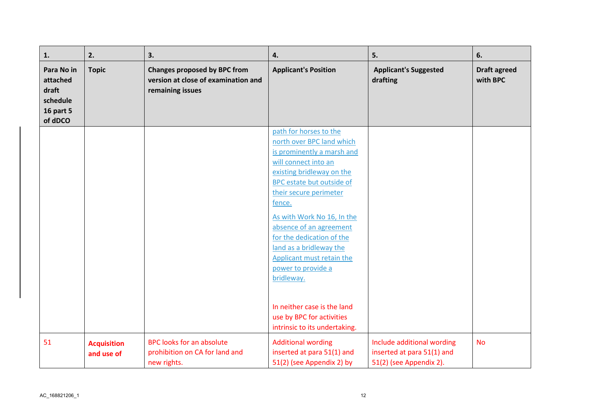| 1.                                                                         | 2.                               | 3.                                                                                             | 4.                                                                                                                                                                                                                                                                                                                                                                                        | 5.                                                                                  | 6.                              |
|----------------------------------------------------------------------------|----------------------------------|------------------------------------------------------------------------------------------------|-------------------------------------------------------------------------------------------------------------------------------------------------------------------------------------------------------------------------------------------------------------------------------------------------------------------------------------------------------------------------------------------|-------------------------------------------------------------------------------------|---------------------------------|
| Para No in<br>attached<br>draft<br>schedule<br><b>16 part 5</b><br>of dDCO | <b>Topic</b>                     | <b>Changes proposed by BPC from</b><br>version at close of examination and<br>remaining issues | <b>Applicant's Position</b>                                                                                                                                                                                                                                                                                                                                                               | <b>Applicant's Suggested</b><br>drafting                                            | <b>Draft agreed</b><br>with BPC |
|                                                                            |                                  |                                                                                                | path for horses to the<br>north over BPC land which<br>is prominently a marsh and<br>will connect into an<br>existing bridleway on the<br>BPC estate but outside of<br>their secure perimeter<br>fence.<br>As with Work No 16, In the<br>absence of an agreement<br>for the dedication of the<br>land as a bridleway the<br>Applicant must retain the<br>power to provide a<br>bridleway. |                                                                                     |                                 |
|                                                                            |                                  |                                                                                                | In neither case is the land<br>use by BPC for activities<br>intrinsic to its undertaking.                                                                                                                                                                                                                                                                                                 |                                                                                     |                                 |
| 51                                                                         | <b>Acquisition</b><br>and use of | <b>BPC looks for an absolute</b><br>prohibition on CA for land and<br>new rights.              | <b>Additional wording</b><br>inserted at para 51(1) and<br>51(2) (see Appendix 2) by                                                                                                                                                                                                                                                                                                      | Include additional wording<br>inserted at para 51(1) and<br>51(2) (see Appendix 2). | <b>No</b>                       |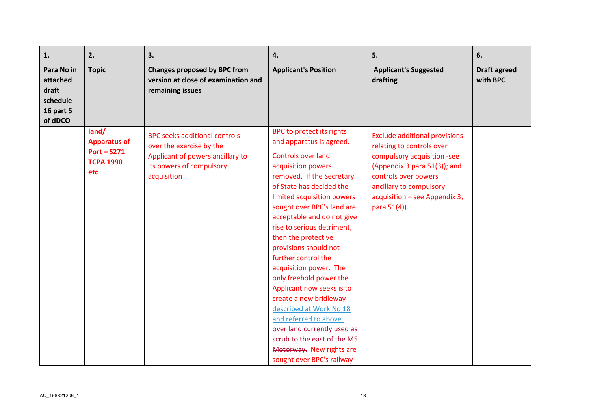| 1.                                                                  | 2.                                                                       | 3.                                                                                                                                              | 4.                                                                                                                                                                                                                                                                                                                                                                                                                                                                                                                                                                                                                                                | 5.                                                                                                                                                                                                                                   | 6.                              |
|---------------------------------------------------------------------|--------------------------------------------------------------------------|-------------------------------------------------------------------------------------------------------------------------------------------------|---------------------------------------------------------------------------------------------------------------------------------------------------------------------------------------------------------------------------------------------------------------------------------------------------------------------------------------------------------------------------------------------------------------------------------------------------------------------------------------------------------------------------------------------------------------------------------------------------------------------------------------------------|--------------------------------------------------------------------------------------------------------------------------------------------------------------------------------------------------------------------------------------|---------------------------------|
| Para No in<br>attached<br>draft<br>schedule<br>16 part 5<br>of dDCO | <b>Topic</b>                                                             | <b>Changes proposed by BPC from</b><br>version at close of examination and<br>remaining issues                                                  | <b>Applicant's Position</b>                                                                                                                                                                                                                                                                                                                                                                                                                                                                                                                                                                                                                       | <b>Applicant's Suggested</b><br>drafting                                                                                                                                                                                             | <b>Draft agreed</b><br>with BPC |
|                                                                     | land/<br><b>Apparatus of</b><br>$Port - S271$<br><b>TCPA 1990</b><br>etc | <b>BPC seeks additional controls</b><br>over the exercise by the<br>Applicant of powers ancillary to<br>its powers of compulsory<br>acquisition | BPC to protect its rights<br>and apparatus is agreed.<br>Controls over land<br>acquisition powers<br>removed. If the Secretary<br>of State has decided the<br>limited acquisition powers<br>sought over BPC's land are<br>acceptable and do not give<br>rise to serious detriment,<br>then the protective<br>provisions should not<br>further control the<br>acquisition power. The<br>only freehold power the<br>Applicant now seeks is to<br>create a new bridleway<br>described at Work No 18<br>and referred to above.<br>over land currently used as<br>scrub to the east of the M5<br>Motorway. New rights are<br>sought over BPC's railway | <b>Exclude additional provisions</b><br>relating to controls over<br>compulsory acquisition -see<br>(Appendix 3 para 51(3)); and<br>controls over powers<br>ancillary to compulsory<br>acquisition - see Appendix 3,<br>para 51(4)). |                                 |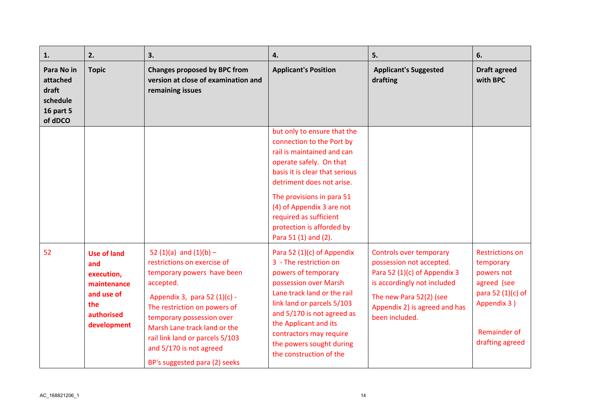| 1.                                                                         | 2.                                                                                                       | 3.                                                                                                                                                                                                                                                                                                                               | 4.                                                                                                                                                                                                                                                                                                                        | 5.                                                                                                                                                                                               | 6.                                                                                                                                             |
|----------------------------------------------------------------------------|----------------------------------------------------------------------------------------------------------|----------------------------------------------------------------------------------------------------------------------------------------------------------------------------------------------------------------------------------------------------------------------------------------------------------------------------------|---------------------------------------------------------------------------------------------------------------------------------------------------------------------------------------------------------------------------------------------------------------------------------------------------------------------------|--------------------------------------------------------------------------------------------------------------------------------------------------------------------------------------------------|------------------------------------------------------------------------------------------------------------------------------------------------|
| Para No in<br>attached<br>draft<br>schedule<br><b>16 part 5</b><br>of dDCO | <b>Topic</b>                                                                                             | <b>Changes proposed by BPC from</b><br>version at close of examination and<br>remaining issues                                                                                                                                                                                                                                   | <b>Applicant's Position</b>                                                                                                                                                                                                                                                                                               | <b>Applicant's Suggested</b><br>drafting                                                                                                                                                         | <b>Draft agreed</b><br>with BPC                                                                                                                |
|                                                                            |                                                                                                          |                                                                                                                                                                                                                                                                                                                                  | but only to ensure that the<br>connection to the Port by<br>rail is maintained and can<br>operate safely. On that<br>basis it is clear that serious<br>detriment does not arise.<br>The provisions in para 51<br>(4) of Appendix 3 are not<br>required as sufficient<br>protection is afforded by<br>Para 51 (1) and (2). |                                                                                                                                                                                                  |                                                                                                                                                |
| 52                                                                         | <b>Use of land</b><br>and<br>execution,<br>maintenance<br>and use of<br>the<br>authorised<br>development | 52 $(1)(a)$ and $(1)(b)$ -<br>restrictions on exercise of<br>temporary powers have been<br>accepted.<br>Appendix 3, para 52 (1)(c) -<br>The restriction on powers of<br>temporary possession over<br>Marsh Lane track land or the<br>rail link land or parcels 5/103<br>and 5/170 is not agreed<br>BP's suggested para (2) seeks | Para 52 (1)(c) of Appendix<br>3 - The restriction on<br>powers of temporary<br>possession over Marsh<br>Lane track land or the rail<br>link land or parcels 5/103<br>and 5/170 is not agreed as<br>the Applicant and its<br>contractors may require<br>the powers sought during<br>the construction of the                | Controls over temporary<br>possession not accepted.<br>Para 52 (1)(c) of Appendix 3<br>is accordingly not included<br>The new Para 52(2) (see<br>Appendix 2) is agreed and has<br>been included. | <b>Restrictions on</b><br>temporary<br>powers not<br>agreed (see<br>para 52 (1)(c) of<br>Appendix 3)<br><b>Remainder of</b><br>drafting agreed |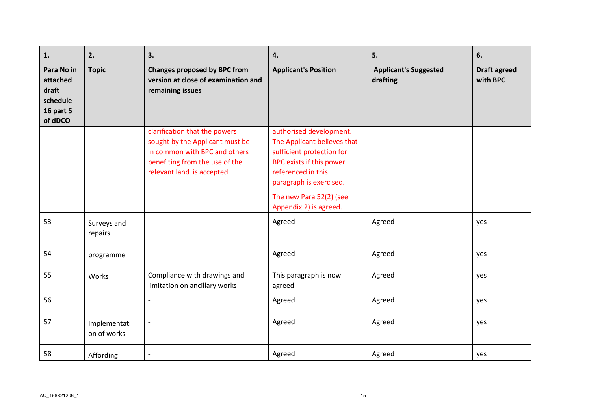| 1.                                                                         | 2.                          | 3.                                                                                                                                                               | 4.                                                                                                                                                                                          | 5.                                       | 6.                              |
|----------------------------------------------------------------------------|-----------------------------|------------------------------------------------------------------------------------------------------------------------------------------------------------------|---------------------------------------------------------------------------------------------------------------------------------------------------------------------------------------------|------------------------------------------|---------------------------------|
| Para No in<br>attached<br>draft<br>schedule<br><b>16 part 5</b><br>of dDCO | <b>Topic</b>                | <b>Changes proposed by BPC from</b><br>version at close of examination and<br>remaining issues                                                                   | <b>Applicant's Position</b>                                                                                                                                                                 | <b>Applicant's Suggested</b><br>drafting | <b>Draft agreed</b><br>with BPC |
|                                                                            |                             | clarification that the powers<br>sought by the Applicant must be<br>in common with BPC and others<br>benefiting from the use of the<br>relevant land is accepted | authorised development.<br>The Applicant believes that<br>sufficient protection for<br>BPC exists if this power<br>referenced in this<br>paragraph is exercised.<br>The new Para 52(2) (see |                                          |                                 |
|                                                                            |                             |                                                                                                                                                                  | Appendix 2) is agreed.                                                                                                                                                                      |                                          |                                 |
| 53                                                                         | Surveys and<br>repairs      | $\overline{\phantom{a}}$                                                                                                                                         | Agreed                                                                                                                                                                                      | Agreed                                   | yes                             |
| 54                                                                         | programme                   | $\overline{\phantom{a}}$                                                                                                                                         | Agreed                                                                                                                                                                                      | Agreed                                   | yes                             |
| 55                                                                         | Works                       | Compliance with drawings and<br>limitation on ancillary works                                                                                                    | This paragraph is now<br>agreed                                                                                                                                                             | Agreed                                   | yes                             |
| 56                                                                         |                             | $\overline{\phantom{a}}$                                                                                                                                         | Agreed                                                                                                                                                                                      | Agreed                                   | yes                             |
| 57                                                                         | Implementati<br>on of works | $\frac{1}{2}$                                                                                                                                                    | Agreed                                                                                                                                                                                      | Agreed                                   | yes                             |
| 58                                                                         | Affording                   |                                                                                                                                                                  | Agreed                                                                                                                                                                                      | Agreed                                   | yes                             |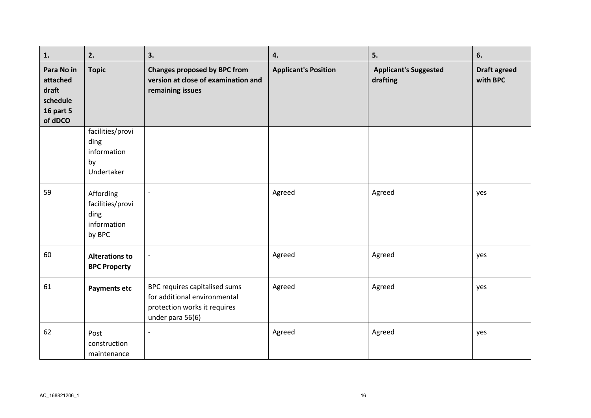| 1.                                                                         | 2.                                                             | 3.                                                                                                                | 4.                          | 5.                                       | 6.                              |
|----------------------------------------------------------------------------|----------------------------------------------------------------|-------------------------------------------------------------------------------------------------------------------|-----------------------------|------------------------------------------|---------------------------------|
| Para No in<br>attached<br>draft<br>schedule<br><b>16 part 5</b><br>of dDCO | <b>Topic</b>                                                   | <b>Changes proposed by BPC from</b><br>version at close of examination and<br>remaining issues                    | <b>Applicant's Position</b> | <b>Applicant's Suggested</b><br>drafting | <b>Draft agreed</b><br>with BPC |
|                                                                            | facilities/provi<br>ding<br>information<br>by<br>Undertaker    |                                                                                                                   |                             |                                          |                                 |
| 59                                                                         | Affording<br>facilities/provi<br>ding<br>information<br>by BPC | $\overline{\phantom{a}}$                                                                                          | Agreed                      | Agreed                                   | yes                             |
| 60                                                                         | <b>Alterations to</b><br><b>BPC Property</b>                   | $\overline{\phantom{a}}$                                                                                          | Agreed                      | Agreed                                   | yes                             |
| 61                                                                         | <b>Payments etc</b>                                            | BPC requires capitalised sums<br>for additional environmental<br>protection works it requires<br>under para 56(6) | Agreed                      | Agreed                                   | yes                             |
| 62                                                                         | Post<br>construction<br>maintenance                            | $\overline{\phantom{a}}$                                                                                          | Agreed                      | Agreed                                   | yes                             |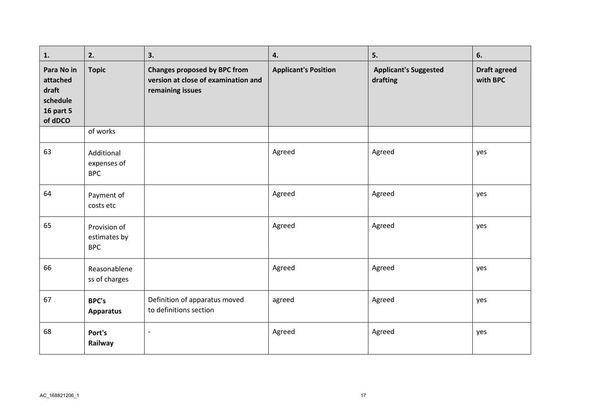| 1.                                                                  | 2.                                         | 3.                                                                                             | 4.                          | 5.                                       | 6.                              |
|---------------------------------------------------------------------|--------------------------------------------|------------------------------------------------------------------------------------------------|-----------------------------|------------------------------------------|---------------------------------|
| Para No in<br>attached<br>draft<br>schedule<br>16 part 5<br>of dDCO | <b>Topic</b>                               | <b>Changes proposed by BPC from</b><br>version at close of examination and<br>remaining issues | <b>Applicant's Position</b> | <b>Applicant's Suggested</b><br>drafting | <b>Draft agreed</b><br>with BPC |
|                                                                     | of works                                   |                                                                                                |                             |                                          |                                 |
| 63                                                                  | Additional<br>expenses of<br><b>BPC</b>    |                                                                                                | Agreed                      | Agreed                                   | yes                             |
| 64                                                                  | Payment of<br>costs etc                    |                                                                                                | Agreed                      | Agreed                                   | yes                             |
| 65                                                                  | Provision of<br>estimates by<br><b>BPC</b> |                                                                                                | Agreed                      | Agreed                                   | yes                             |
| 66                                                                  | Reasonablene<br>ss of charges              |                                                                                                | Agreed                      | Agreed                                   | yes                             |
| 67                                                                  | <b>BPC's</b><br><b>Apparatus</b>           | Definition of apparatus moved<br>to definitions section                                        | agreed                      | Agreed                                   | yes                             |
| 68                                                                  | Port's<br>Railway                          | $\overline{\phantom{a}}$                                                                       | Agreed                      | Agreed                                   | yes                             |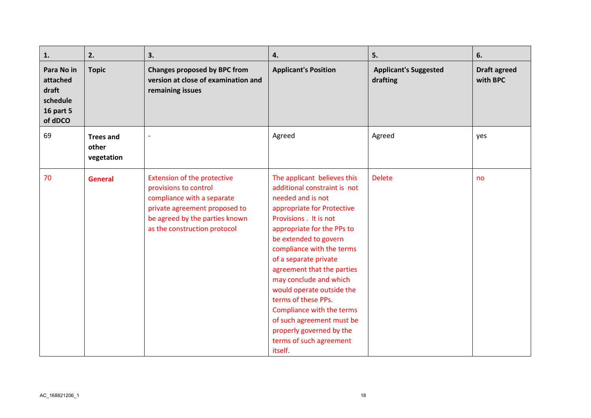| 1.                                                                         | 2.                                      | 3.                                                                                                                                                                                           | 4.                                                                                                                                                                                                                                                                                                                                                                                                                                                                                            | 5.                                       | 6.                              |
|----------------------------------------------------------------------------|-----------------------------------------|----------------------------------------------------------------------------------------------------------------------------------------------------------------------------------------------|-----------------------------------------------------------------------------------------------------------------------------------------------------------------------------------------------------------------------------------------------------------------------------------------------------------------------------------------------------------------------------------------------------------------------------------------------------------------------------------------------|------------------------------------------|---------------------------------|
| Para No in<br>attached<br>draft<br>schedule<br><b>16 part 5</b><br>of dDCO | <b>Topic</b>                            | <b>Changes proposed by BPC from</b><br>version at close of examination and<br>remaining issues                                                                                               | <b>Applicant's Position</b>                                                                                                                                                                                                                                                                                                                                                                                                                                                                   | <b>Applicant's Suggested</b><br>drafting | <b>Draft agreed</b><br>with BPC |
| 69                                                                         | <b>Trees and</b><br>other<br>vegetation | $\overline{\phantom{a}}$                                                                                                                                                                     | Agreed                                                                                                                                                                                                                                                                                                                                                                                                                                                                                        | Agreed                                   | yes                             |
| 70                                                                         | <b>General</b>                          | <b>Extension of the protective</b><br>provisions to control<br>compliance with a separate<br>private agreement proposed to<br>be agreed by the parties known<br>as the construction protocol | The applicant believes this<br>additional constraint is not<br>needed and is not<br>appropriate for Protective<br>Provisions . It is not<br>appropriate for the PPs to<br>be extended to govern<br>compliance with the terms<br>of a separate private<br>agreement that the parties<br>may conclude and which<br>would operate outside the<br>terms of these PPs.<br>Compliance with the terms<br>of such agreement must be<br>properly governed by the<br>terms of such agreement<br>itself. | <b>Delete</b>                            | no                              |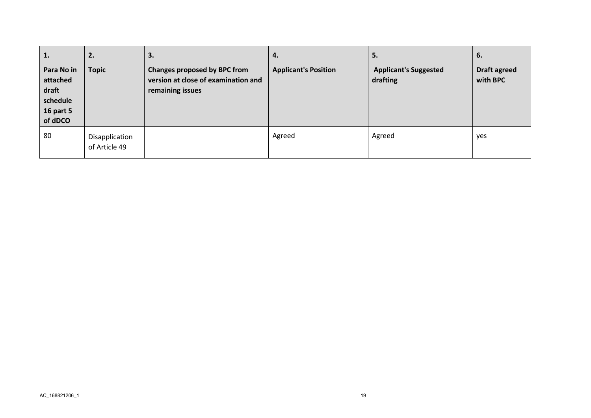| 1.                                                                         | 2.                              | 3.                                                                                             | 4.                          | 5.                                       | 6.                              |
|----------------------------------------------------------------------------|---------------------------------|------------------------------------------------------------------------------------------------|-----------------------------|------------------------------------------|---------------------------------|
| Para No in<br>attached<br>draft<br>schedule<br><b>16 part 5</b><br>of dDCO | <b>Topic</b>                    | <b>Changes proposed by BPC from</b><br>version at close of examination and<br>remaining issues | <b>Applicant's Position</b> | <b>Applicant's Suggested</b><br>drafting | <b>Draft agreed</b><br>with BPC |
| 80                                                                         | Disapplication<br>of Article 49 |                                                                                                | Agreed                      | Agreed                                   | yes                             |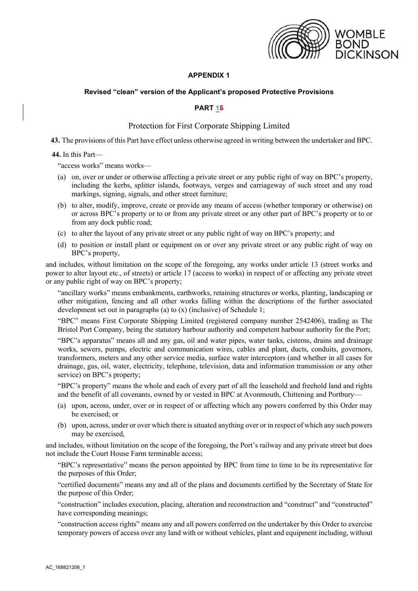

## **APPENDIX 1**

## **Revised "clean" version of the Applicant's proposed Protective Provisions**

## **PART 15**

## Protection for First Corporate Shipping Limited

**43.** The provisions of this Part have effect unless otherwise agreed in writing between the undertaker and BPC.

#### **44.** In this Part—

"access works" means works—

- (a) on, over or under or otherwise affecting a private street or any public right of way on BPC's property, including the kerbs, splitter islands, footways, verges and carriageway of such street and any road markings, signing, signals, and other street furniture;
- (b) to alter, modify, improve, create or provide any means of access (whether temporary or otherwise) on or across BPC's property or to or from any private street or any other part of BPC's property or to or from any dock public road;
- (c) to alter the layout of any private street or any public right of way on BPC's property; and
- (d) to position or install plant or equipment on or over any private street or any public right of way on BPC's property,

and includes, without limitation on the scope of the foregoing, any works under article 13 (street works and power to alter layout etc., of streets) or article 17 (access to works) in respect of or affecting any private street or any public right of way on BPC's property;

"ancillary works" means embankments, earthworks, retaining structures or works, planting, landscaping or other mitigation, fencing and all other works falling within the descriptions of the further associated development set out in paragraphs (a) to (x) (inclusive) of Schedule 1;

"BPC" means First Corporate Shipping Limited (registered company number 2542406), trading as The Bristol Port Company, being the statutory harbour authority and competent harbour authority for the Port;

"BPC's apparatus" means all and any gas, oil and water pipes, water tanks, cisterns, drains and drainage works, sewers, pumps, electric and communication wires, cables and plant, ducts, conduits, governors, transformers, meters and any other service media, surface water interceptors (and whether in all cases for drainage, gas, oil, water, electricity, telephone, television, data and information transmission or any other service) on BPC's property;

"BPC's property" means the whole and each of every part of all the leasehold and freehold land and rights and the benefit of all covenants, owned by or vested in BPC at Avonmouth, Chittening and Portbury—

- (a) upon, across, under, over or in respect of or affecting which any powers conferred by this Order may be exercised; or
- (b) upon, across, under or over which there is situated anything over or in respect of which any such powers may be exercised,

and includes, without limitation on the scope of the foregoing, the Port's railway and any private street but does not include the Court House Farm terminable access;

"BPC's representative" means the person appointed by BPC from time to time to be its representative for the purposes of this Order;

"certified documents" means any and all of the plans and documents certified by the Secretary of State for the purpose of this Order;

"construction" includes execution, placing, alteration and reconstruction and "construct" and "constructed" have corresponding meanings;

"construction access rights" means any and all powers conferred on the undertaker by this Order to exercise temporary powers of access over any land with or without vehicles, plant and equipment including, without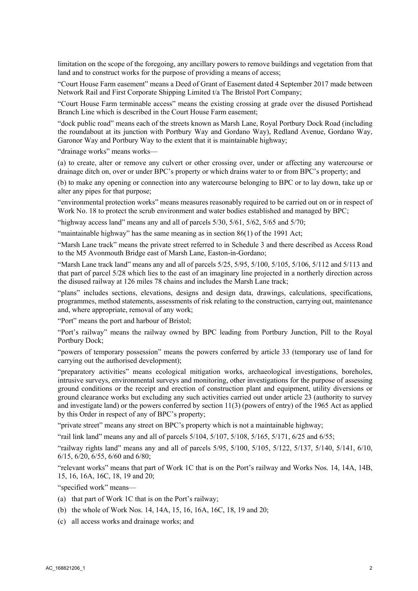limitation on the scope of the foregoing, any ancillary powers to remove buildings and vegetation from that land and to construct works for the purpose of providing a means of access;

"Court House Farm easement" means a Deed of Grant of Easement dated 4 September 2017 made between Network Rail and First Corporate Shipping Limited t/a The Bristol Port Company;

"Court House Farm terminable access" means the existing crossing at grade over the disused Portishead Branch Line which is described in the Court House Farm easement;

"dock public road" means each of the streets known as Marsh Lane, Royal Portbury Dock Road (including the roundabout at its junction with Portbury Way and Gordano Way), Redland Avenue, Gordano Way, Garonor Way and Portbury Way to the extent that it is maintainable highway;

"drainage works" means works—

(a) to create, alter or remove any culvert or other crossing over, under or affecting any watercourse or drainage ditch on, over or under BPC's property or which drains water to or from BPC's property; and

(b) to make any opening or connection into any watercourse belonging to BPC or to lay down, take up or alter any pipes for that purpose;

"environmental protection works" means measures reasonably required to be carried out on or in respect of Work No. 18 to protect the scrub environment and water bodies established and managed by BPC;

"highway access land" means any and all of parcels  $5/30$ ,  $5/61$ ,  $5/62$ ,  $5/65$  and  $5/70$ ;

"maintainable highway" has the same meaning as in section 86(1) of the 1991 Act;

"Marsh Lane track" means the private street referred to in Schedule 3 and there described as Access Road to the M5 Avonmouth Bridge east of Marsh Lane, Easton-in-Gordano;

"Marsh Lane track land" means any and all of parcels 5/25, 5/95, 5/100, 5/105, 5/106, 5/112 and 5/113 and that part of parcel 5/28 which lies to the east of an imaginary line projected in a northerly direction across the disused railway at 126 miles 78 chains and includes the Marsh Lane track;

"plans" includes sections, elevations, designs and design data, drawings, calculations, specifications, programmes, method statements, assessments of risk relating to the construction, carrying out, maintenance and, where appropriate, removal of any work;

"Port" means the port and harbour of Bristol;

"Port's railway" means the railway owned by BPC leading from Portbury Junction, Pill to the Royal Portbury Dock;

"powers of temporary possession" means the powers conferred by article 33 (temporary use of land for carrying out the authorised development);

"preparatory activities" means ecological mitigation works, archaeological investigations, boreholes, intrusive surveys, environmental surveys and monitoring, other investigations for the purpose of assessing ground conditions or the receipt and erection of construction plant and equipment, utility diversions or ground clearance works but excluding any such activities carried out under article 23 (authority to survey and investigate land) or the powers conferred by section 11(3) (powers of entry) of the 1965 Act as applied by this Order in respect of any of BPC's property;

"private street" means any street on BPC's property which is not a maintainable highway;

"rail link land" means any and all of parcels 5/104, 5/107, 5/108, 5/165, 5/171, 6/25 and 6/55;

"railway rights land" means any and all of parcels 5/95, 5/100, 5/105, 5/122, 5/137, 5/140, 5/141, 6/10, 6/15, 6/20, 6/55, 6/60 and 6/80;

"relevant works" means that part of Work 1C that is on the Port's railway and Works Nos. 14, 14A, 14B, 15, 16, 16A, 16C, 18, 19 and 20;

"specified work" means—

- (a) that part of Work 1C that is on the Port's railway;
- (b) the whole of Work Nos. 14, 14A, 15, 16, 16A, 16C, 18, 19 and 20;
- (c) all access works and drainage works; and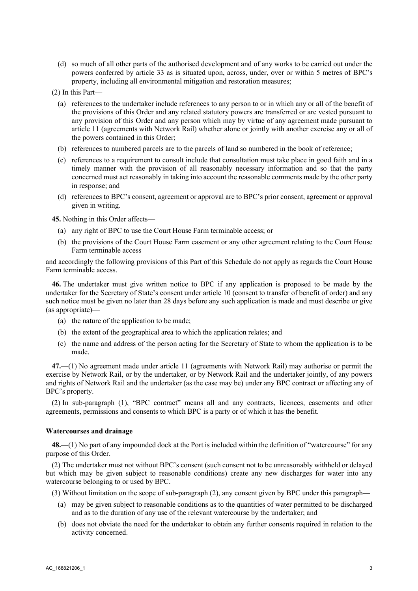(d) so much of all other parts of the authorised development and of any works to be carried out under the powers conferred by article 33 as is situated upon, across, under, over or within 5 metres of BPC's property, including all environmental mitigation and restoration measures;

(2) In this Part—

- (a) references to the undertaker include references to any person to or in which any or all of the benefit of the provisions of this Order and any related statutory powers are transferred or are vested pursuant to any provision of this Order and any person which may by virtue of any agreement made pursuant to article 11 (agreements with Network Rail) whether alone or jointly with another exercise any or all of the powers contained in this Order;
- (b) references to numbered parcels are to the parcels of land so numbered in the book of reference;
- (c) references to a requirement to consult include that consultation must take place in good faith and in a timely manner with the provision of all reasonably necessary information and so that the party concerned must act reasonably in taking into account the reasonable comments made by the other party in response; and
- (d) references to BPC's consent, agreement or approval are to BPC's prior consent, agreement or approval given in writing.

**45.** Nothing in this Order affects—

- (a) any right of BPC to use the Court House Farm terminable access; or
- (b) the provisions of the Court House Farm easement or any other agreement relating to the Court House Farm terminable access

and accordingly the following provisions of this Part of this Schedule do not apply as regards the Court House Farm terminable access.

**46.** The undertaker must give written notice to BPC if any application is proposed to be made by the undertaker for the Secretary of State's consent under article 10 (consent to transfer of benefit of order) and any such notice must be given no later than 28 days before any such application is made and must describe or give (as appropriate)—

- (a) the nature of the application to be made;
- (b) the extent of the geographical area to which the application relates; and
- (c) the name and address of the person acting for the Secretary of State to whom the application is to be made.

**47.**—(1) No agreement made under article 11 (agreements with Network Rail) may authorise or permit the exercise by Network Rail, or by the undertaker, or by Network Rail and the undertaker jointly, of any powers and rights of Network Rail and the undertaker (as the case may be) under any BPC contract or affecting any of BPC's property.

(2) In sub-paragraph (1), "BPC contract" means all and any contracts, licences, easements and other agreements, permissions and consents to which BPC is a party or of which it has the benefit.

#### **Watercourses and drainage**

**48.**—(1) No part of any impounded dock at the Port is included within the definition of "watercourse" for any purpose of this Order.

(2) The undertaker must not without BPC's consent (such consent not to be unreasonably withheld or delayed but which may be given subject to reasonable conditions) create any new discharges for water into any watercourse belonging to or used by BPC.

(3) Without limitation on the scope of sub-paragraph (2), any consent given by BPC under this paragraph—

- (a) may be given subject to reasonable conditions as to the quantities of water permitted to be discharged and as to the duration of any use of the relevant watercourse by the undertaker; and
- (b) does not obviate the need for the undertaker to obtain any further consents required in relation to the activity concerned.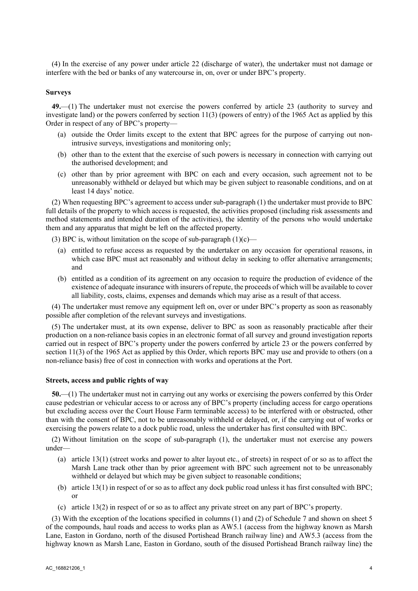(4) In the exercise of any power under article 22 (discharge of water), the undertaker must not damage or interfere with the bed or banks of any watercourse in, on, over or under BPC's property.

#### **Surveys**

**49.**—(1) The undertaker must not exercise the powers conferred by article 23 (authority to survey and investigate land) or the powers conferred by section 11(3) (powers of entry) of the 1965 Act as applied by this Order in respect of any of BPC's property—

- (a) outside the Order limits except to the extent that BPC agrees for the purpose of carrying out nonintrusive surveys, investigations and monitoring only;
- (b) other than to the extent that the exercise of such powers is necessary in connection with carrying out the authorised development; and
- (c) other than by prior agreement with BPC on each and every occasion, such agreement not to be unreasonably withheld or delayed but which may be given subject to reasonable conditions, and on at least 14 days' notice.

(2) When requesting BPC's agreement to access under sub-paragraph (1) the undertaker must provide to BPC full details of the property to which access is requested, the activities proposed (including risk assessments and method statements and intended duration of the activities), the identity of the persons who would undertake them and any apparatus that might be left on the affected property.

(3) BPC is, without limitation on the scope of sub-paragraph  $(1)(c)$ —

- (a) entitled to refuse access as requested by the undertaker on any occasion for operational reasons, in which case BPC must act reasonably and without delay in seeking to offer alternative arrangements; and
- (b) entitled as a condition of its agreement on any occasion to require the production of evidence of the existence of adequate insurance with insurers of repute, the proceeds of which will be available to cover all liability, costs, claims, expenses and demands which may arise as a result of that access.

(4) The undertaker must remove any equipment left on, over or under BPC's property as soon as reasonably possible after completion of the relevant surveys and investigations.

(5) The undertaker must, at its own expense, deliver to BPC as soon as reasonably practicable after their production on a non-reliance basis copies in an electronic format of all survey and ground investigation reports carried out in respect of BPC's property under the powers conferred by article 23 or the powers conferred by section 11(3) of the 1965 Act as applied by this Order, which reports BPC may use and provide to others (on a non-reliance basis) free of cost in connection with works and operations at the Port.

#### **Streets, access and public rights of way**

**50.**—(1) The undertaker must not in carrying out any works or exercising the powers conferred by this Order cause pedestrian or vehicular access to or across any of BPC's property (including access for cargo operations but excluding access over the Court House Farm terminable access) to be interfered with or obstructed, other than with the consent of BPC, not to be unreasonably withheld or delayed, or, if the carrying out of works or exercising the powers relate to a dock public road, unless the undertaker has first consulted with BPC.

(2) Without limitation on the scope of sub-paragraph (1), the undertaker must not exercise any powers under—

- (a) article 13(1) (street works and power to alter layout etc., of streets) in respect of or so as to affect the Marsh Lane track other than by prior agreement with BPC such agreement not to be unreasonably withheld or delayed but which may be given subject to reasonable conditions;
- (b) article 13(1) in respect of or so as to affect any dock public road unless it has first consulted with BPC; or
- (c) article 13(2) in respect of or so as to affect any private street on any part of BPC's property.

(3) With the exception of the locations specified in columns (1) and (2) of Schedule 7 and shown on sheet 5 of the compounds, haul roads and access to works plan as AW5.1 (access from the highway known as Marsh Lane, Easton in Gordano, north of the disused Portishead Branch railway line) and AW5.3 (access from the highway known as Marsh Lane, Easton in Gordano, south of the disused Portishead Branch railway line) the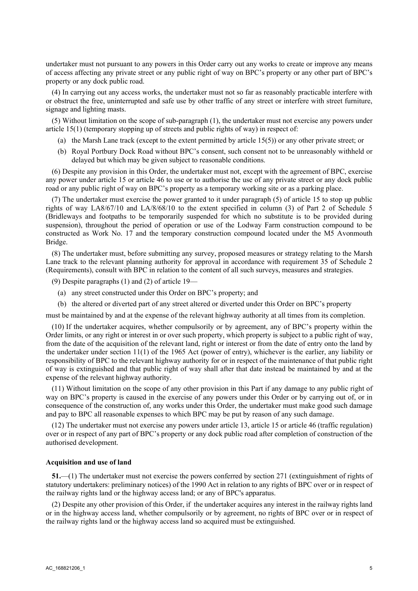undertaker must not pursuant to any powers in this Order carry out any works to create or improve any means of access affecting any private street or any public right of way on BPC's property or any other part of BPC's property or any dock public road.

(4) In carrying out any access works, the undertaker must not so far as reasonably practicable interfere with or obstruct the free, uninterrupted and safe use by other traffic of any street or interfere with street furniture, signage and lighting masts.

(5) Without limitation on the scope of sub-paragraph (1), the undertaker must not exercise any powers under article 15(1) (temporary stopping up of streets and public rights of way) in respect of:

- (a) the Marsh Lane track (except to the extent permitted by article 15(5)) or any other private street; or
- (b) Royal Portbury Dock Road without BPC's consent, such consent not to be unreasonably withheld or delayed but which may be given subject to reasonable conditions.

(6) Despite any provision in this Order, the undertaker must not, except with the agreement of BPC, exercise any power under article 15 or article 46 to use or to authorise the use of any private street or any dock public road or any public right of way on BPC's property as a temporary working site or as a parking place.

(7) The undertaker must exercise the power granted to it under paragraph (5) of article 15 to stop up public rights of way LA8/67/10 and LA/8/68/10 to the extent specified in column (3) of Part 2 of Schedule 5 (Bridleways and footpaths to be temporarily suspended for which no substitute is to be provided during suspension), throughout the period of operation or use of the Lodway Farm construction compound to be constructed as Work No. 17 and the temporary construction compound located under the M5 Avonmouth Bridge.

(8) The undertaker must, before submitting any survey, proposed measures or strategy relating to the Marsh Lane track to the relevant planning authority for approval in accordance with requirement 35 of Schedule 2 (Requirements), consult with BPC in relation to the content of all such surveys, measures and strategies.

(9) Despite paragraphs (1) and (2) of article 19—

- (a) any street constructed under this Order on BPC's property; and
- (b) the altered or diverted part of any street altered or diverted under this Order on BPC's property

must be maintained by and at the expense of the relevant highway authority at all times from its completion.

(10) If the undertaker acquires, whether compulsorily or by agreement, any of BPC's property within the Order limits, or any right or interest in or over such property, which property is subject to a public right of way, from the date of the acquisition of the relevant land, right or interest or from the date of entry onto the land by the undertaker under section 11(1) of the 1965 Act (power of entry), whichever is the earlier, any liability or responsibility of BPC to the relevant highway authority for or in respect of the maintenance of that public right of way is extinguished and that public right of way shall after that date instead be maintained by and at the expense of the relevant highway authority.

(11) Without limitation on the scope of any other provision in this Part if any damage to any public right of way on BPC's property is caused in the exercise of any powers under this Order or by carrying out of, or in consequence of the construction of, any works under this Order, the undertaker must make good such damage and pay to BPC all reasonable expenses to which BPC may be put by reason of any such damage.

(12) The undertaker must not exercise any powers under article 13, article 15 or article 46 (traffic regulation) over or in respect of any part of BPC's property or any dock public road after completion of construction of the authorised development.

#### **Acquisition and use of land**

**51.**—(1) The undertaker must not exercise the powers conferred by section 271 (extinguishment of rights of statutory undertakers: preliminary notices) of the 1990 Act in relation to any rights of BPC over or in respect of the railway rights land or the highway access land; or any of BPC's apparatus.

(2) Despite any other provision of this Order, if the undertaker acquires any interest in the railway rights land or in the highway access land, whether compulsorily or by agreement, no rights of BPC over or in respect of the railway rights land or the highway access land so acquired must be extinguished.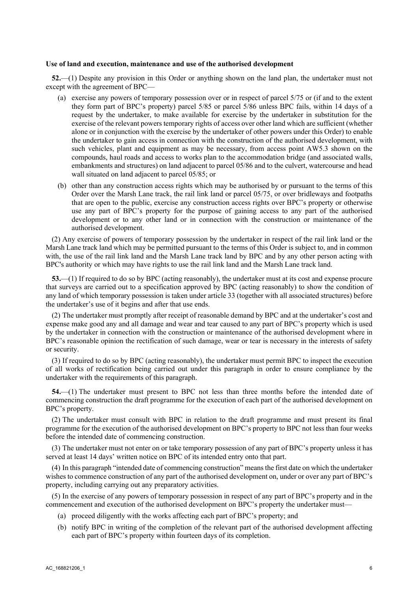#### **Use of land and execution, maintenance and use of the authorised development**

**52.**—(1) Despite any provision in this Order or anything shown on the land plan, the undertaker must not except with the agreement of BPC—

- (a) exercise any powers of temporary possession over or in respect of parcel 5/75 or (if and to the extent they form part of BPC's property) parcel 5/85 or parcel 5/86 unless BPC fails, within 14 days of a request by the undertaker, to make available for exercise by the undertaker in substitution for the exercise of the relevant powers temporary rights of access over other land which are sufficient (whether alone or in conjunction with the exercise by the undertaker of other powers under this Order) to enable the undertaker to gain access in connection with the construction of the authorised development, with such vehicles, plant and equipment as may be necessary, from access point AW5.3 shown on the compounds, haul roads and access to works plan to the accommodation bridge (and associated walls, embankments and structures) on land adjacent to parcel 05/86 and to the culvert, watercourse and head wall situated on land adjacent to parcel 05/85; or
- (b) other than any construction access rights which may be authorised by or pursuant to the terms of this Order over the Marsh Lane track, the rail link land or parcel 05/75, or over bridleways and footpaths that are open to the public, exercise any construction access rights over BPC's property or otherwise use any part of BPC's property for the purpose of gaining access to any part of the authorised development or to any other land or in connection with the construction or maintenance of the authorised development.

(2) Any exercise of powers of temporary possession by the undertaker in respect of the rail link land or the Marsh Lane track land which may be permitted pursuant to the terms of this Order is subject to, and in common with, the use of the rail link land and the Marsh Lane track land by BPC and by any other person acting with BPC's authority or which may have rights to use the rail link land and the Marsh Lane track land.

**53.**—(1) If required to do so by BPC (acting reasonably), the undertaker must at its cost and expense procure that surveys are carried out to a specification approved by BPC (acting reasonably) to show the condition of any land of which temporary possession is taken under article 33 (together with all associated structures) before the undertaker's use of it begins and after that use ends.

(2) The undertaker must promptly after receipt of reasonable demand by BPC and at the undertaker's cost and expense make good any and all damage and wear and tear caused to any part of BPC's property which is used by the undertaker in connection with the construction or maintenance of the authorised development where in BPC's reasonable opinion the rectification of such damage, wear or tear is necessary in the interests of safety or security.

(3) If required to do so by BPC (acting reasonably), the undertaker must permit BPC to inspect the execution of all works of rectification being carried out under this paragraph in order to ensure compliance by the undertaker with the requirements of this paragraph.

**54.**—(1) The undertaker must present to BPC not less than three months before the intended date of commencing construction the draft programme for the execution of each part of the authorised development on BPC's property.

(2) The undertaker must consult with BPC in relation to the draft programme and must present its final programme for the execution of the authorised development on BPC's property to BPC not less than four weeks before the intended date of commencing construction.

(3) The undertaker must not enter on or take temporary possession of any part of BPC's property unless it has served at least 14 days' written notice on BPC of its intended entry onto that part.

(4) In this paragraph "intended date of commencing construction" means the first date on which the undertaker wishes to commence construction of any part of the authorised development on, under or over any part of BPC's property, including carrying out any preparatory activities.

(5) In the exercise of any powers of temporary possession in respect of any part of BPC's property and in the commencement and execution of the authorised development on BPC's property the undertaker must—

- (a) proceed diligently with the works affecting each part of BPC's property; and
- (b) notify BPC in writing of the completion of the relevant part of the authorised development affecting each part of BPC's property within fourteen days of its completion.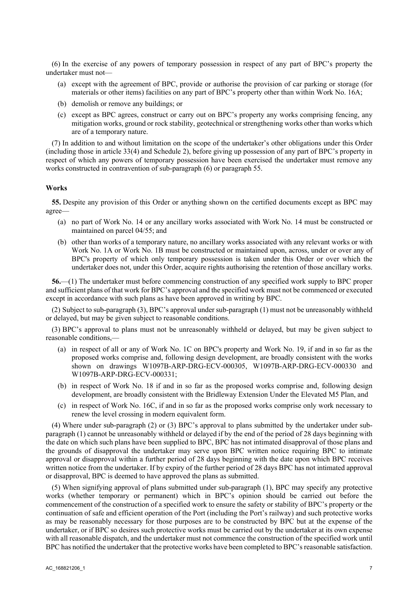(6) In the exercise of any powers of temporary possession in respect of any part of BPC's property the undertaker must not—

- (a) except with the agreement of BPC, provide or authorise the provision of car parking or storage (for materials or other items) facilities on any part of BPC's property other than within Work No. 16A;
- (b) demolish or remove any buildings; or
- (c) except as BPC agrees, construct or carry out on BPC's property any works comprising fencing, any mitigation works, ground or rock stability, geotechnical or strengthening works other than works which are of a temporary nature.

(7) In addition to and without limitation on the scope of the undertaker's other obligations under this Order (including those in article 33(4) and Schedule 2), before giving up possession of any part of BPC's property in respect of which any powers of temporary possession have been exercised the undertaker must remove any works constructed in contravention of sub-paragraph (6) or paragraph 55.

## **Works**

**55.** Despite any provision of this Order or anything shown on the certified documents except as BPC may agree—

- (a) no part of Work No. 14 or any ancillary works associated with Work No. 14 must be constructed or maintained on parcel 04/55; and
- (b) other than works of a temporary nature, no ancillary works associated with any relevant works or with Work No. 1A or Work No. 1B must be constructed or maintained upon, across, under or over any of BPC's property of which only temporary possession is taken under this Order or over which the undertaker does not, under this Order, acquire rights authorising the retention of those ancillary works.

**56.**—(1) The undertaker must before commencing construction of any specified work supply to BPC proper and sufficient plans of that work for BPC's approval and the specified work must not be commenced or executed except in accordance with such plans as have been approved in writing by BPC.

(2) Subject to sub-paragraph (3), BPC's approval under sub-paragraph (1) must not be unreasonably withheld or delayed, but may be given subject to reasonable conditions.

(3) BPC's approval to plans must not be unreasonably withheld or delayed, but may be given subject to reasonable conditions,—

- (a) in respect of all or any of Work No. 1C on BPC's property and Work No. 19, if and in so far as the proposed works comprise and, following design development, are broadly consistent with the works shown on drawings W1097B-ARP-DRG-ECV-000305, W1097B-ARP-DRG-ECV-000330 and W1097B-ARP-DRG-ECV-000331;
- (b) in respect of Work No. 18 if and in so far as the proposed works comprise and, following design development, are broadly consistent with the Bridleway Extension Under the Elevated M5 Plan, and
- (c) in respect of Work No. 16C, if and in so far as the proposed works comprise only work necessary to renew the level crossing in modern equivalent form.

(4) Where under sub-paragraph (2) or (3) BPC's approval to plans submitted by the undertaker under subparagraph (1) cannot be unreasonably withheld or delayed if by the end of the period of 28 days beginning with the date on which such plans have been supplied to BPC, BPC has not intimated disapproval of those plans and the grounds of disapproval the undertaker may serve upon BPC written notice requiring BPC to intimate approval or disapproval within a further period of 28 days beginning with the date upon which BPC receives written notice from the undertaker. If by expiry of the further period of 28 days BPC has not intimated approval or disapproval, BPC is deemed to have approved the plans as submitted.

(5) When signifying approval of plans submitted under sub-paragraph (1), BPC may specify any protective works (whether temporary or permanent) which in BPC's opinion should be carried out before the commencement of the construction of a specified work to ensure the safety or stability of BPC's property or the continuation of safe and efficient operation of the Port (including the Port's railway) and such protective works as may be reasonably necessary for those purposes are to be constructed by BPC but at the expense of the undertaker, or if BPC so desires such protective works must be carried out by the undertaker at its own expense with all reasonable dispatch, and the undertaker must not commence the construction of the specified work until BPC has notified the undertaker that the protective works have been completed to BPC's reasonable satisfaction.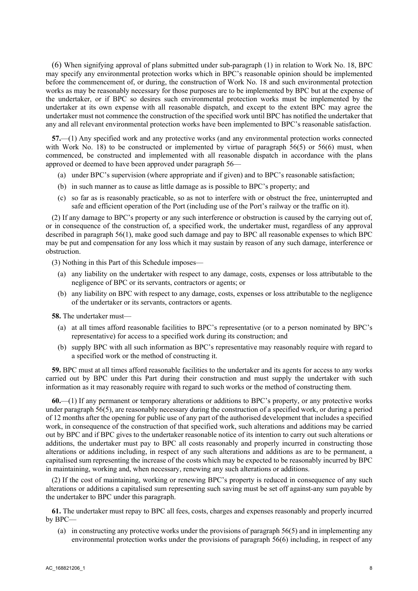(6) When signifying approval of plans submitted under sub-paragraph (1) in relation to Work No. 18, BPC may specify any environmental protection works which in BPC's reasonable opinion should be implemented before the commencement of, or during, the construction of Work No. 18 and such environmental protection works as may be reasonably necessary for those purposes are to be implemented by BPC but at the expense of the undertaker, or if BPC so desires such environmental protection works must be implemented by the undertaker at its own expense with all reasonable dispatch, and except to the extent BPC may agree the undertaker must not commence the construction of the specified work until BPC has notified the undertaker that any and all relevant environmental protection works have been implemented to BPC's reasonable satisfaction.

**57.**—(1) Any specified work and any protective works (and any environmental protection works connected with Work No. 18) to be constructed or implemented by virtue of paragraph 56(5) or 56(6) must, when commenced, be constructed and implemented with all reasonable dispatch in accordance with the plans approved or deemed to have been approved under paragraph 56—

- (a) under BPC's supervision (where appropriate and if given) and to BPC's reasonable satisfaction;
- (b) in such manner as to cause as little damage as is possible to BPC's property; and
- (c) so far as is reasonably practicable, so as not to interfere with or obstruct the free, uninterrupted and safe and efficient operation of the Port (including use of the Port's railway or the traffic on it).

(2) If any damage to BPC's property or any such interference or obstruction is caused by the carrying out of, or in consequence of the construction of, a specified work, the undertaker must, regardless of any approval described in paragraph 56(1), make good such damage and pay to BPC all reasonable expenses to which BPC may be put and compensation for any loss which it may sustain by reason of any such damage, interference or obstruction.

(3) Nothing in this Part of this Schedule imposes—

- (a) any liability on the undertaker with respect to any damage, costs, expenses or loss attributable to the negligence of BPC or its servants, contractors or agents; or
- (b) any liability on BPC with respect to any damage, costs, expenses or loss attributable to the negligence of the undertaker or its servants, contractors or agents.

**58.** The undertaker must—

- (a) at all times afford reasonable facilities to BPC's representative (or to a person nominated by BPC's representative) for access to a specified work during its construction; and
- (b) supply BPC with all such information as BPC's representative may reasonably require with regard to a specified work or the method of constructing it.

**59.** BPC must at all times afford reasonable facilities to the undertaker and its agents for access to any works carried out by BPC under this Part during their construction and must supply the undertaker with such information as it may reasonably require with regard to such works or the method of constructing them.

**60.**—(1) If any permanent or temporary alterations or additions to BPC's property, or any protective works under paragraph 56(5), are reasonably necessary during the construction of a specified work, or during a period of 12 months after the opening for public use of any part of the authorised development that includes a specified work, in consequence of the construction of that specified work, such alterations and additions may be carried out by BPC and if BPC gives to the undertaker reasonable notice of its intention to carry out such alterations or additions, the undertaker must pay to BPC all costs reasonably and properly incurred in constructing those alterations or additions including, in respect of any such alterations and additions as are to be permanent, a capitalised sum representing the increase of the costs which may be expected to be reasonably incurred by BPC in maintaining, working and, when necessary, renewing any such alterations or additions.

(2) If the cost of maintaining, working or renewing BPC's property is reduced in consequence of any such alterations or additions a capitalised sum representing such saving must be set off against-any sum payable by the undertaker to BPC under this paragraph.

**61.** The undertaker must repay to BPC all fees, costs, charges and expenses reasonably and properly incurred by BPC—

(a) in constructing any protective works under the provisions of paragraph 56(5) and in implementing any environmental protection works under the provisions of paragraph 56(6) including, in respect of any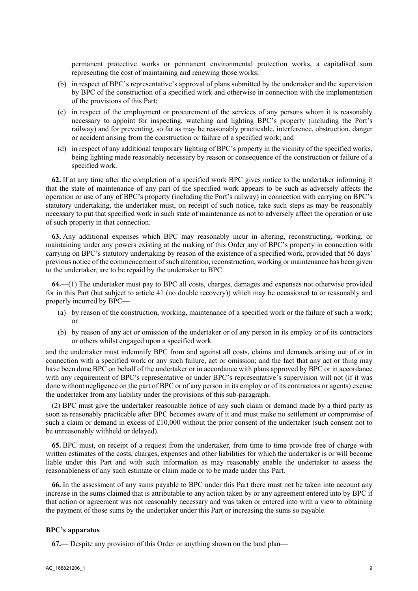permanent protective works or permanent environmental protection works, a capitalised sum representing the cost of maintaining and renewing those works;

- (b) in respect of BPC's representative's approval of plans submitted by the undertaker and the supervision by BPC of the construction of a specified work and otherwise in connection with the implementation of the provisions of this Part;
- (c) in respect of the employment or procurement of the services of any persons whom it is reasonably necessary to appoint for inspecting, watching and lighting BPC's property (including the Port's railway) and for preventing, so far as may be reasonably practicable, interference, obstruction, danger or accident arising from the construction or failure of a specified work; and
- (d) in respect of any additional temporary lighting of BPC's property in the vicinity of the specified works, being lighting made reasonably necessary by reason or consequence of the construction or failure of a specified work.

**62.** If at any time after the completion of a specified work BPC gives notice to the undertaker informing it that the state of maintenance of any part of the specified work appears to be such as adversely affects the operation or use of any of BPC's property (including the Port's railway) in connection with carrying on BPC's statutory undertaking, the undertaker must, on receipt of such notice, take such steps as may be reasonably necessary to put that specified work in such state of maintenance as not to adversely affect the operation or use of such property in that connection.

**63.** Any additional expenses which BPC may reasonably incur in altering, reconstructing, working, or maintaining under any powers existing at the making of this Order any of BPC's property in connection with carrying on BPC's statutory undertaking by reason of the existence of a specified work, provided that 56 days' previous notice of the commencement of such alteration, reconstruction, working or maintenance has been given to the undertaker, are to be repaid by the undertaker to BPC.

**64.**—(1) The undertaker must pay to BPC all costs, charges, damages and expenses not otherwise provided for in this Part (but subject to article 41 (no double recovery)) which may be occasioned to or reasonably and properly incurred by BPC—

- (a) by reason of the construction, working, maintenance of a specified work or the failure of such a work; or
- (b) by reason of any act or omission of the undertaker or of any person in its employ or of its contractors or others whilst engaged upon a specified work

and the undertaker must indemnify BPC from and against all costs, claims and demands arising out of or in connection with a specified work or any such failure, act or omission; and the fact that any act or thing may have been done BPC on behalf of the undertaker or in accordance with plans approved by BPC or in accordance with any requirement of BPC's representative or under BPC's representative's supervision will not (if it was done without negligence on the part of BPC or of any person in its employ or of its contractors or agents) excuse the undertaker from any liability under the provisions of this sub-paragraph.

(2) BPC must give the undertaker reasonable notice of any such claim or demand made by a third party as soon as reasonably practicable after BPC becomes aware of it and must make no settlement or compromise of such a claim or demand in excess of £10,000 without the prior consent of the undertaker (such consent not to be unreasonably withheld or delayed).

**65.** BPC must, on receipt of a request from the undertaker, from time to time provide free of charge with written estimates of the costs, charges, expenses and other liabilities for which the undertaker is or will become liable under this Part and with such information as may reasonably enable the undertaker to assess the reasonableness of any such estimate or claim made or to be made under this Part.

**66.** In the assessment of any sums payable to BPC under this Part there must not be taken into account any increase in the sums claimed that is attributable to any action taken by or any agreement entered into by BPC if that action or agreement was not reasonably necessary and was taken or entered into with a view to obtaining the payment of those sums by the undertaker under this Part or increasing the sums so payable.

#### **BPC's apparatus**

**67.**— Despite any provision of this Order or anything shown on the land plan—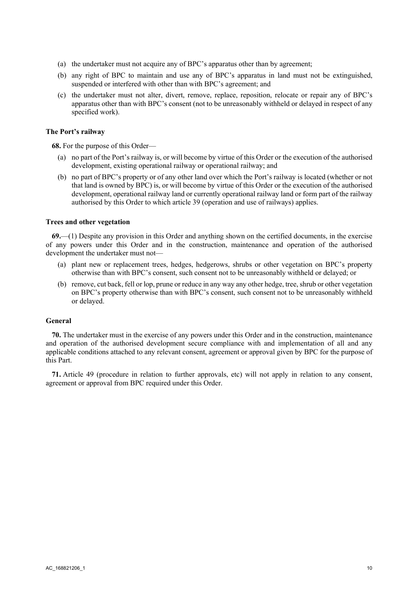- (a) the undertaker must not acquire any of BPC's apparatus other than by agreement;
- (b) any right of BPC to maintain and use any of BPC's apparatus in land must not be extinguished, suspended or interfered with other than with BPC's agreement; and
- (c) the undertaker must not alter, divert, remove, replace, reposition, relocate or repair any of BPC's apparatus other than with BPC's consent (not to be unreasonably withheld or delayed in respect of any specified work).

## **The Port's railway**

**68.** For the purpose of this Order—

- (a) no part of the Port's railway is, or will become by virtue of this Order or the execution of the authorised development, existing operational railway or operational railway; and
- (b) no part of BPC's property or of any other land over which the Port's railway is located (whether or not that land is owned by BPC) is, or will become by virtue of this Order or the execution of the authorised development, operational railway land or currently operational railway land or form part of the railway authorised by this Order to which article 39 (operation and use of railways) applies.

#### **Trees and other vegetation**

**69.**—(1) Despite any provision in this Order and anything shown on the certified documents, in the exercise of any powers under this Order and in the construction, maintenance and operation of the authorised development the undertaker must not—

- (a) plant new or replacement trees, hedges, hedgerows, shrubs or other vegetation on BPC's property otherwise than with BPC's consent, such consent not to be unreasonably withheld or delayed; or
- (b) remove, cut back, fell or lop, prune or reduce in any way any other hedge, tree, shrub or other vegetation on BPC's property otherwise than with BPC's consent, such consent not to be unreasonably withheld or delayed.

## **General**

**70.** The undertaker must in the exercise of any powers under this Order and in the construction, maintenance and operation of the authorised development secure compliance with and implementation of all and any applicable conditions attached to any relevant consent, agreement or approval given by BPC for the purpose of this Part.

**71.** Article 49 (procedure in relation to further approvals, etc) will not apply in relation to any consent, agreement or approval from BPC required under this Order.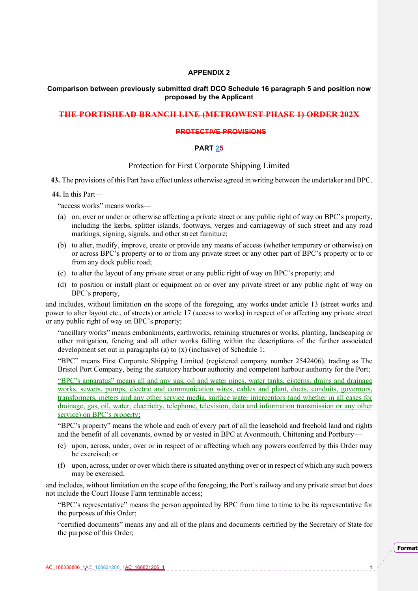#### **APPENDIX 2**

## **Comparison between previously submitted draft DCO Schedule 16 paragraph 5 and position now proposed by the Applicant**

## **THE PORTISHEAD BRANCH LINE (METROWEST PHASE 1) ORDER 202X**

#### **PROTECTIVE PROVISIONS**

## **PART 25**

## Protection for First Corporate Shipping Limited

**43.** The provisions of this Part have effect unless otherwise agreed in writing between the undertaker and BPC.

#### **44.** In this Part—

"access works" means works—

- (a) on, over or under or otherwise affecting a private street or any public right of way on BPC's property, including the kerbs, splitter islands, footways, verges and carriageway of such street and any road markings, signing, signals, and other street furniture;
- (b) to alter, modify, improve, create or provide any means of access (whether temporary or otherwise) on or across BPC's property or to or from any private street or any other part of BPC's property or to or from any dock public road;
- (c) to alter the layout of any private street or any public right of way on BPC's property; and
- (d) to position or install plant or equipment on or over any private street or any public right of way on BPC's property,

and includes, without limitation on the scope of the foregoing, any works under article 13 (street works and power to alter layout etc., of streets) or article 17 (access to works) in respect of or affecting any private street or any public right of way on BPC's property;

"ancillary works" means embankments, earthworks, retaining structures or works, planting, landscaping or other mitigation, fencing and all other works falling within the descriptions of the further associated development set out in paragraphs (a) to (x) (inclusive) of Schedule 1;

"BPC" means First Corporate Shipping Limited (registered company number 2542406), trading as The Bristol Port Company, being the statutory harbour authority and competent harbour authority for the Port;

"BPC's apparatus" means all and any gas, oil and water pipes, water tanks, cisterns, drains and drainage works, sewers, pumps, electric and communication wires, cables and plant, ducts, conduits, governors, transformers, meters and any other service media, surface water interceptors (and whether in all cases for drainage, gas, oil, water, electricity, telephone, television, data and information transmission or any other service) on BPC's property;

"BPC's property" means the whole and each of every part of all the leasehold and freehold land and rights and the benefit of all covenants, owned by or vested in BPC at Avonmouth, Chittening and Portbury—

- (e) upon, across, under, over or in respect of or affecting which any powers conferred by this Order may be exercised; or
- (f) upon, across, under or over which there is situated anything over or in respect of which any such powers may be exercised,

and includes, without limitation on the scope of the foregoing, the Port's railway and any private street but does not include the Court House Farm terminable access;

"BPC's representative" means the person appointed by BPC from time to time to be its representative for the purposes of this Order;

"certified documents" means any and all of the plans and documents certified by the Secretary of State for the purpose of this Order;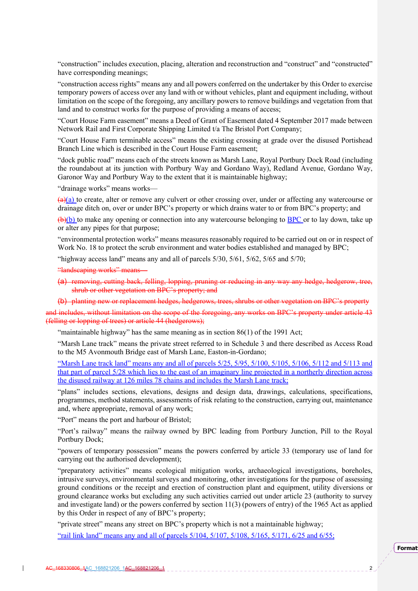"construction" includes execution, placing, alteration and reconstruction and "construct" and "constructed" have corresponding meanings;

"construction access rights" means any and all powers conferred on the undertaker by this Order to exercise temporary powers of access over any land with or without vehicles, plant and equipment including, without limitation on the scope of the foregoing, any ancillary powers to remove buildings and vegetation from that land and to construct works for the purpose of providing a means of access;

"Court House Farm easement" means a Deed of Grant of Easement dated 4 September 2017 made between Network Rail and First Corporate Shipping Limited t/a The Bristol Port Company;

"Court House Farm terminable access" means the existing crossing at grade over the disused Portishead Branch Line which is described in the Court House Farm easement;

"dock public road" means each of the streets known as Marsh Lane, Royal Portbury Dock Road (including the roundabout at its junction with Portbury Way and Gordano Way), Redland Avenue, Gordano Way, Garonor Way and Portbury Way to the extent that it is maintainable highway;

"drainage works" means works—

 $\frac{a}{a}$  to create, alter or remove any culvert or other crossing over, under or affecting any watercourse or drainage ditch on, over or under BPC's property or which drains water to or from BPC's property; and

 $(\theta)(b)$  to make any opening or connection into any watercourse belonging to BPC or to lay down, take up or alter any pipes for that purpose;

"environmental protection works" means measures reasonably required to be carried out on or in respect of Work No. 18 to protect the scrub environment and water bodies established and managed by BPC;

"highway access land" means any and all of parcels 5/30, 5/61, 5/62, 5/65 and 5/70;

"landscaping works" means

(a) removing, cutting back, felling, lopping, pruning or reducing in any way any hedge, hedgerow, tree, shrub or other vegetation on BPC's property; and

(b) planting new or replacement hedges, hedgerows, trees, shrubs or other vegetation on BPC's property

and includes, without limitation on the scope of the foregoing, any works on BPC's property under article 43 (felling or lopping of trees) or article 44 (hedgerows);

"maintainable highway" has the same meaning as in section 86(1) of the 1991 Act;

"Marsh Lane track" means the private street referred to in Schedule 3 and there described as Access Road to the M5 Avonmouth Bridge east of Marsh Lane, Easton-in-Gordano;

"Marsh Lane track land" means any and all of parcels 5/25, 5/95, 5/100, 5/105, 5/106, 5/112 and 5/113 and that part of parcel 5/28 which lies to the east of an imaginary line projected in a northerly direction across the disused railway at 126 miles 78 chains and includes the Marsh Lane track;

"plans" includes sections, elevations, designs and design data, drawings, calculations, specifications, programmes, method statements, assessments of risk relating to the construction, carrying out, maintenance and, where appropriate, removal of any work;

"Port" means the port and harbour of Bristol;

"Port's railway" means the railway owned by BPC leading from Portbury Junction, Pill to the Royal Portbury Dock;

"powers of temporary possession" means the powers conferred by article 33 (temporary use of land for carrying out the authorised development);

"preparatory activities" means ecological mitigation works, archaeological investigations, boreholes, intrusive surveys, environmental surveys and monitoring, other investigations for the purpose of assessing ground conditions or the receipt and erection of construction plant and equipment, utility diversions or ground clearance works but excluding any such activities carried out under article 23 (authority to survey and investigate land) or the powers conferred by section 11(3) (powers of entry) of the 1965 Act as applied by this Order in respect of any of BPC's property;

"private street" means any street on BPC's property which is not a maintainable highway;

"rail link land" means any and all of parcels 5/104, 5/107, 5/108, 5/165, 5/171, 6/25 and 6/55;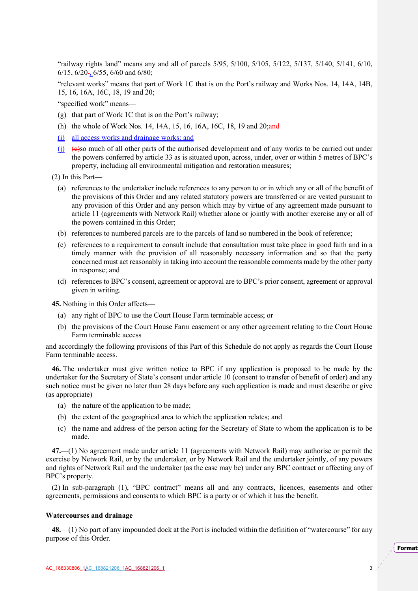"railway rights land" means any and all of parcels 5/95, 5/100, 5/105, 5/122, 5/137, 5/140, 5/141, 6/10, 6/15,  $6/20$ ,  $6/55$ ,  $6/60$  and  $6/80$ ;

"relevant works" means that part of Work 1C that is on the Port's railway and Works Nos. 14, 14A, 14B, 15, 16, 16A, 16C, 18, 19 and 20;

"specified work" means—

- (g) that part of Work 1C that is on the Port's railway;
- (h) the whole of Work Nos. 14, 14A, 15, 16, 16A, 16C, 18, 19 and 20; and
- (i) all access works and drainage works; and
- $(i)$  (e)so much of all other parts of the authorised development and of any works to be carried out under the powers conferred by article 33 as is situated upon, across, under, over or within 5 metres of BPC's property, including all environmental mitigation and restoration measures;

(2) In this Part—

- (a) references to the undertaker include references to any person to or in which any or all of the benefit of the provisions of this Order and any related statutory powers are transferred or are vested pursuant to any provision of this Order and any person which may by virtue of any agreement made pursuant to article 11 (agreements with Network Rail) whether alone or jointly with another exercise any or all of the powers contained in this Order;
- (b) references to numbered parcels are to the parcels of land so numbered in the book of reference;
- (c) references to a requirement to consult include that consultation must take place in good faith and in a timely manner with the provision of all reasonably necessary information and so that the party concerned must act reasonably in taking into account the reasonable comments made by the other party in response; and
- (d) references to BPC's consent, agreement or approval are to BPC's prior consent, agreement or approval given in writing.

**45.** Nothing in this Order affects—

- (a) any right of BPC to use the Court House Farm terminable access; or
- (b) the provisions of the Court House Farm easement or any other agreement relating to the Court House Farm terminable access

and accordingly the following provisions of this Part of this Schedule do not apply as regards the Court House Farm terminable access.

**46.** The undertaker must give written notice to BPC if any application is proposed to be made by the undertaker for the Secretary of State's consent under article 10 (consent to transfer of benefit of order) and any such notice must be given no later than 28 days before any such application is made and must describe or give (as appropriate)—

- (a) the nature of the application to be made;
- (b) the extent of the geographical area to which the application relates; and
- (c) the name and address of the person acting for the Secretary of State to whom the application is to be made.

**47.**—(1) No agreement made under article 11 (agreements with Network Rail) may authorise or permit the exercise by Network Rail, or by the undertaker, or by Network Rail and the undertaker jointly, of any powers and rights of Network Rail and the undertaker (as the case may be) under any BPC contract or affecting any of BPC's property.

(2) In sub-paragraph (1), "BPC contract" means all and any contracts, licences, easements and other agreements, permissions and consents to which BPC is a party or of which it has the benefit.

#### **Watercourses and drainage**

**48.**—(1) No part of any impounded dock at the Port is included within the definition of "watercourse" for any purpose of this Order.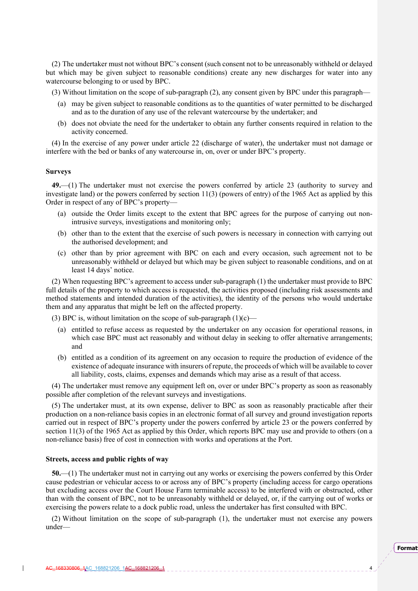(2) The undertaker must not without BPC's consent (such consent not to be unreasonably withheld or delayed but which may be given subject to reasonable conditions) create any new discharges for water into any watercourse belonging to or used by BPC.

(3) Without limitation on the scope of sub-paragraph (2), any consent given by BPC under this paragraph—

- (a) may be given subject to reasonable conditions as to the quantities of water permitted to be discharged and as to the duration of any use of the relevant watercourse by the undertaker; and
- (b) does not obviate the need for the undertaker to obtain any further consents required in relation to the activity concerned.

(4) In the exercise of any power under article 22 (discharge of water), the undertaker must not damage or interfere with the bed or banks of any watercourse in, on, over or under BPC's property.

#### **Surveys**

**49.**—(1) The undertaker must not exercise the powers conferred by article 23 (authority to survey and investigate land) or the powers conferred by section 11(3) (powers of entry) of the 1965 Act as applied by this Order in respect of any of BPC's property—

- (a) outside the Order limits except to the extent that BPC agrees for the purpose of carrying out nonintrusive surveys, investigations and monitoring only;
- (b) other than to the extent that the exercise of such powers is necessary in connection with carrying out the authorised development; and
- (c) other than by prior agreement with BPC on each and every occasion, such agreement not to be unreasonably withheld or delayed but which may be given subject to reasonable conditions, and on at least 14 days' notice.

(2) When requesting BPC's agreement to access under sub-paragraph (1) the undertaker must provide to BPC full details of the property to which access is requested, the activities proposed (including risk assessments and method statements and intended duration of the activities), the identity of the persons who would undertake them and any apparatus that might be left on the affected property.

(3) BPC is, without limitation on the scope of sub-paragraph  $(1)(c)$ —

- (a) entitled to refuse access as requested by the undertaker on any occasion for operational reasons, in which case BPC must act reasonably and without delay in seeking to offer alternative arrangements; and
- (b) entitled as a condition of its agreement on any occasion to require the production of evidence of the existence of adequate insurance with insurers of repute, the proceeds of which will be available to cover all liability, costs, claims, expenses and demands which may arise as a result of that access.

(4) The undertaker must remove any equipment left on, over or under BPC's property as soon as reasonably possible after completion of the relevant surveys and investigations.

(5) The undertaker must, at its own expense, deliver to BPC as soon as reasonably practicable after their production on a non-reliance basis copies in an electronic format of all survey and ground investigation reports carried out in respect of BPC's property under the powers conferred by article 23 or the powers conferred by section 11(3) of the 1965 Act as applied by this Order, which reports BPC may use and provide to others (on a non-reliance basis) free of cost in connection with works and operations at the Port.

## **Streets, access and public rights of way**

**50.**—(1) The undertaker must not in carrying out any works or exercising the powers conferred by this Order cause pedestrian or vehicular access to or across any of BPC's property (including access for cargo operations but excluding access over the Court House Farm terminable access) to be interfered with or obstructed, other than with the consent of BPC, not to be unreasonably withheld or delayed, or, if the carrying out of works or exercising the powers relate to a dock public road, unless the undertaker has first consulted with BPC.

(2) Without limitation on the scope of sub-paragraph (1), the undertaker must not exercise any powers under—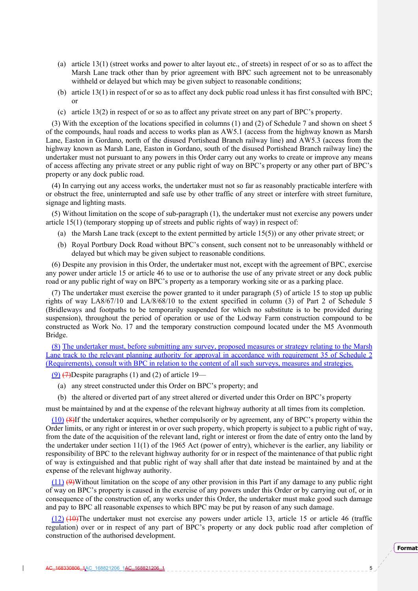- (a) article 13(1) (street works and power to alter layout etc., of streets) in respect of or so as to affect the Marsh Lane track other than by prior agreement with BPC such agreement not to be unreasonably withheld or delayed but which may be given subject to reasonable conditions;
- (b) article 13(1) in respect of or so as to affect any dock public road unless it has first consulted with BPC; or
- (c) article 13(2) in respect of or so as to affect any private street on any part of BPC's property.

(3) With the exception of the locations specified in columns (1) and (2) of Schedule 7 and shown on sheet 5 of the compounds, haul roads and access to works plan as AW5.1 (access from the highway known as Marsh Lane, Easton in Gordano, north of the disused Portishead Branch railway line) and AW5.3 (access from the highway known as Marsh Lane, Easton in Gordano, south of the disused Portishead Branch railway line) the undertaker must not pursuant to any powers in this Order carry out any works to create or improve any means of access affecting any private street or any public right of way on BPC's property or any other part of BPC's property or any dock public road.

(4) In carrying out any access works, the undertaker must not so far as reasonably practicable interfere with or obstruct the free, uninterrupted and safe use by other traffic of any street or interfere with street furniture, signage and lighting masts.

(5) Without limitation on the scope of sub-paragraph (1), the undertaker must not exercise any powers under article 15(1) (temporary stopping up of streets and public rights of way) in respect of:

- (a) the Marsh Lane track (except to the extent permitted by article 15(5)) or any other private street; or
- (b) Royal Portbury Dock Road without BPC's consent, such consent not to be unreasonably withheld or delayed but which may be given subject to reasonable conditions.

(6) Despite any provision in this Order, the undertaker must not, except with the agreement of BPC, exercise any power under article 15 or article 46 to use or to authorise the use of any private street or any dock public road or any public right of way on BPC's property as a temporary working site or as a parking place.

(7) The undertaker must exercise the power granted to it under paragraph (5) of article 15 to stop up public rights of way LA8/67/10 and LA/8/68/10 to the extent specified in column (3) of Part 2 of Schedule 5 (Bridleways and footpaths to be temporarily suspended for which no substitute is to be provided during suspension), throughout the period of operation or use of the Lodway Farm construction compound to be constructed as Work No. 17 and the temporary construction compound located under the M5 Avonmouth Bridge.

(8) The undertaker must, before submitting any survey, proposed measures or strategy relating to the Marsh Lane track to the relevant planning authority for approval in accordance with requirement 35 of Schedule 2 (Requirements), consult with BPC in relation to the content of all such surveys, measures and strategies.

 $(9)$   $(7)$ Despite paragraphs (1) and (2) of article 19—

- (a) any street constructed under this Order on BPC's property; and
- (b) the altered or diverted part of any street altered or diverted under this Order on BPC's property

must be maintained by and at the expense of the relevant highway authority at all times from its completion.

(10) (8)If the undertaker acquires, whether compulsorily or by agreement, any of BPC's property within the Order limits, or any right or interest in or over such property, which property is subject to a public right of way, from the date of the acquisition of the relevant land, right or interest or from the date of entry onto the land by the undertaker under section 11(1) of the 1965 Act (power of entry), whichever is the earlier, any liability or responsibility of BPC to the relevant highway authority for or in respect of the maintenance of that public right of way is extinguished and that public right of way shall after that date instead be maintained by and at the expense of the relevant highway authority.

(11) (9)Without limitation on the scope of any other provision in this Part if any damage to any public right of way on BPC's property is caused in the exercise of any powers under this Order or by carrying out of, or in consequence of the construction of, any works under this Order, the undertaker must make good such damage and pay to BPC all reasonable expenses to which BPC may be put by reason of any such damage.

(12) (10)The undertaker must not exercise any powers under article 13, article 15 or article 46 (traffic regulation) over or in respect of any part of BPC's property or any dock public road after completion of construction of the authorised development.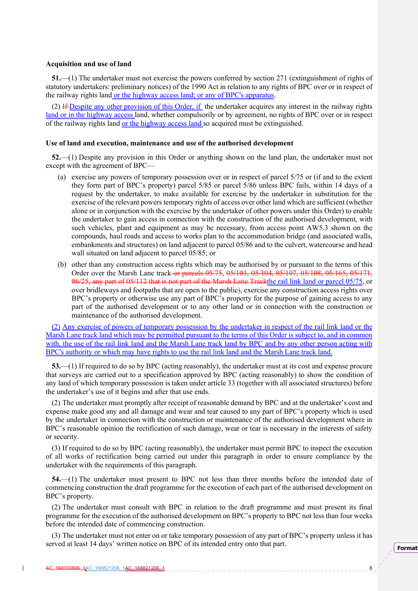#### **Acquisition and use of land**

**51.**—(1) The undertaker must not exercise the powers conferred by section 271 (extinguishment of rights of statutory undertakers: preliminary notices) of the 1990 Act in relation to any rights of BPC over or in respect of the railway rights land or the highway access land; or any of BPC's apparatus.

(2) If Despite any other provision of this Order, if the undertaker acquires any interest in the railway rights land or in the highway access land, whether compulsorily or by agreement, no rights of BPC over or in respect of the railway rights land <u>or the highway access land</u> so acquired must be extinguished.

#### **Use of land and execution, maintenance and use of the authorised development**

**52.**—(1) Despite any provision in this Order or anything shown on the land plan, the undertaker must not except with the agreement of BPC—

- (a) exercise any powers of temporary possession over or in respect of parcel 5/75 or (if and to the extent they form part of BPC's property) parcel 5/85 or parcel 5/86 unless BPC fails, within 14 days of a request by the undertaker, to make available for exercise by the undertaker in substitution for the exercise of the relevant powers temporary rights of access over other land which are sufficient (whether alone or in conjunction with the exercise by the undertaker of other powers under this Order) to enable the undertaker to gain access in connection with the construction of the authorised development, with such vehicles, plant and equipment as may be necessary, from access point AW5.3 shown on the compounds, haul roads and access to works plan to the accommodation bridge (and associated walls, embankments and structures) on land adjacent to parcel 05/86 and to the culvert, watercourse and head wall situated on land adjacent to parcel 05/85; or
- (b) other than any construction access rights which may be authorised by or pursuant to the terms of this Order over the Marsh Lane track or parcels 05/75, 05/103, 05/104, 05/107, 05/108, 05/165, 05/171, 06/25, any part of 05/112 that is not part of the Marsh Lane Trackthe rail link land or parcel 05/75, or over bridleways and footpaths that are open to the public), exercise any construction access rights over BPC's property or otherwise use any part of BPC's property for the purpose of gaining access to any part of the authorised development or to any other land or in connection with the construction or maintenance of the authorised development.

(2) Any exercise of powers of temporary possession by the undertaker in respect of the rail link land or the Marsh Lane track land which may be permitted pursuant to the terms of this Order is subject to, and in common with, the use of the rail link land and the Marsh Lane track land by BPC and by any other person acting with BPC's authority or which may have rights to use the rail link land and the Marsh Lane track land.

**53.**—(1) If required to do so by BPC (acting reasonably), the undertaker must at its cost and expense procure that surveys are carried out to a specification approved by BPC (acting reasonably) to show the condition of any land of which temporary possession is taken under article 33 (together with all associated structures) before the undertaker's use of it begins and after that use ends.

(2) The undertaker must promptly after receipt of reasonable demand by BPC and at the undertaker's cost and expense make good any and all damage and wear and tear caused to any part of BPC's property which is used by the undertaker in connection with the construction or maintenance of the authorised development where in BPC's reasonable opinion the rectification of such damage, wear or tear is necessary in the interests of safety or security.

(3) If required to do so by BPC (acting reasonably), the undertaker must permit BPC to inspect the execution of all works of rectification being carried out under this paragraph in order to ensure compliance by the undertaker with the requirements of this paragraph.

**54.**—(1) The undertaker must present to BPC not less than three months before the intended date of commencing construction the draft programme for the execution of each part of the authorised development on BPC's property.

(2) The undertaker must consult with BPC in relation to the draft programme and must present its final programme for the execution of the authorised development on BPC's property to BPC not less than four weeks before the intended date of commencing construction.

(3) The undertaker must not enter on or take temporary possession of any part of BPC's property unless it has served at least 14 days' written notice on BPC of its intended entry onto that part.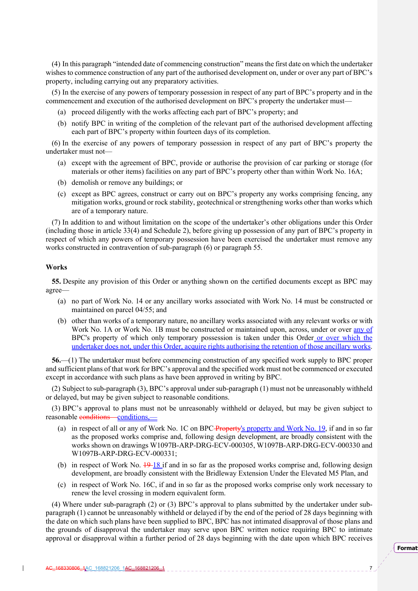(4) In this paragraph "intended date of commencing construction" means the first date on which the undertaker wishes to commence construction of any part of the authorised development on, under or over any part of BPC's property, including carrying out any preparatory activities.

(5) In the exercise of any powers of temporary possession in respect of any part of BPC's property and in the commencement and execution of the authorised development on BPC's property the undertaker must—

- (a) proceed diligently with the works affecting each part of BPC's property; and
- (b) notify BPC in writing of the completion of the relevant part of the authorised development affecting each part of BPC's property within fourteen days of its completion.

(6) In the exercise of any powers of temporary possession in respect of any part of BPC's property the undertaker must not—

- (a) except with the agreement of BPC, provide or authorise the provision of car parking or storage (for materials or other items) facilities on any part of BPC's property other than within Work No. 16A;
- (b) demolish or remove any buildings; or
- (c) except as BPC agrees, construct or carry out on BPC's property any works comprising fencing, any mitigation works, ground or rock stability, geotechnical or strengthening works other than works which are of a temporary nature.

(7) In addition to and without limitation on the scope of the undertaker's other obligations under this Order (including those in article 33(4) and Schedule 2), before giving up possession of any part of BPC's property in respect of which any powers of temporary possession have been exercised the undertaker must remove any works constructed in contravention of sub-paragraph (6) or paragraph 55.

#### **Works**

**55.** Despite any provision of this Order or anything shown on the certified documents except as BPC may agree—

- (a) no part of Work No. 14 or any ancillary works associated with Work No. 14 must be constructed or maintained on parcel 04/55; and
- (b) other than works of a temporary nature, no ancillary works associated with any relevant works or with Work No. 1A or Work No. 1B must be constructed or maintained upon, across, under or over any of BPC's property of which only temporary possession is taken under this Order or over which the undertaker does not, under this Order, acquire rights authorising the retention of those ancillary works.

**56.**—(1) The undertaker must before commencing construction of any specified work supply to BPC proper and sufficient plans of that work for BPC's approval and the specified work must not be commenced or executed except in accordance with such plans as have been approved in writing by BPC.

(2) Subject to sub-paragraph (3), BPC's approval under sub-paragraph (1) must not be unreasonably withheld or delayed, but may be given subject to reasonable conditions.

(3) BPC's approval to plans must not be unreasonably withheld or delayed, but may be given subject to reasonable conditions—conditions

- (a) in respect of all or any of Work No. 1C on BPC Property's property and Work No. 19, if and in so far as the proposed works comprise and, following design development, are broadly consistent with the works shown on drawings W1097B-ARP-DRG-ECV-000305, W1097B-ARP-DRG-ECV-000330 and W1097B-ARP-DRG-ECV-000331;
- (b) in respect of Work No.  $\frac{19-18}{15}$  if and in so far as the proposed works comprise and, following design development, are broadly consistent with the Bridleway Extension Under the Elevated M5 Plan, and
- (c) in respect of Work No. 16C, if and in so far as the proposed works comprise only work necessary to renew the level crossing in modern equivalent form.

(4) Where under sub-paragraph (2) or (3) BPC's approval to plans submitted by the undertaker under subparagraph (1) cannot be unreasonably withheld or delayed if by the end of the period of 28 days beginning with the date on which such plans have been supplied to BPC, BPC has not intimated disapproval of those plans and the grounds of disapproval the undertaker may serve upon BPC written notice requiring BPC to intimate approval or disapproval within a further period of 28 days beginning with the date upon which BPC receives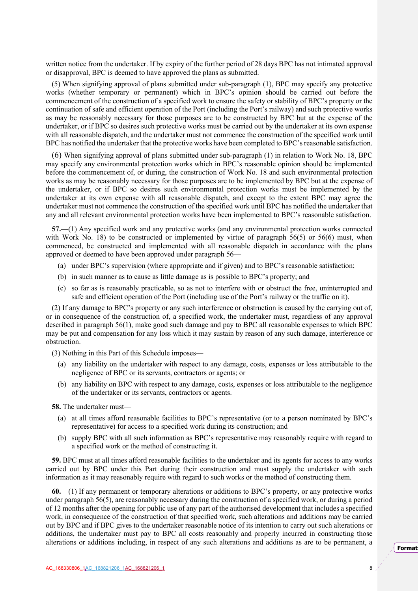written notice from the undertaker. If by expiry of the further period of 28 days BPC has not intimated approval or disapproval, BPC is deemed to have approved the plans as submitted.

(5) When signifying approval of plans submitted under sub-paragraph (1), BPC may specify any protective works (whether temporary or permanent) which in BPC's opinion should be carried out before the commencement of the construction of a specified work to ensure the safety or stability of BPC's property or the continuation of safe and efficient operation of the Port (including the Port's railway) and such protective works as may be reasonably necessary for those purposes are to be constructed by BPC but at the expense of the undertaker, or if BPC so desires such protective works must be carried out by the undertaker at its own expense with all reasonable dispatch, and the undertaker must not commence the construction of the specified work until BPC has notified the undertaker that the protective works have been completed to BPC's reasonable satisfaction.

(6) When signifying approval of plans submitted under sub-paragraph (1) in relation to Work No. 18, BPC may specify any environmental protection works which in BPC's reasonable opinion should be implemented before the commencement of, or during, the construction of Work No. 18 and such environmental protection works as may be reasonably necessary for those purposes are to be implemented by BPC but at the expense of the undertaker, or if BPC so desires such environmental protection works must be implemented by the undertaker at its own expense with all reasonable dispatch, and except to the extent BPC may agree the undertaker must not commence the construction of the specified work until BPC has notified the undertaker that any and all relevant environmental protection works have been implemented to BPC's reasonable satisfaction.

**57.**—(1) Any specified work and any protective works (and any environmental protection works connected with Work No. 18) to be constructed or implemented by virtue of paragraph 56(5) or 56(6) must, when commenced, be constructed and implemented with all reasonable dispatch in accordance with the plans approved or deemed to have been approved under paragraph 56—

- (a) under BPC's supervision (where appropriate and if given) and to BPC's reasonable satisfaction;
- (b) in such manner as to cause as little damage as is possible to BPC's property; and
- (c) so far as is reasonably practicable, so as not to interfere with or obstruct the free, uninterrupted and safe and efficient operation of the Port (including use of the Port's railway or the traffic on it).

(2) If any damage to BPC's property or any such interference or obstruction is caused by the carrying out of, or in consequence of the construction of, a specified work, the undertaker must, regardless of any approval described in paragraph 56(1), make good such damage and pay to BPC all reasonable expenses to which BPC may be put and compensation for any loss which it may sustain by reason of any such damage, interference or obstruction.

(3) Nothing in this Part of this Schedule imposes—

- (a) any liability on the undertaker with respect to any damage, costs, expenses or loss attributable to the negligence of BPC or its servants, contractors or agents; or
- (b) any liability on BPC with respect to any damage, costs, expenses or loss attributable to the negligence of the undertaker or its servants, contractors or agents.

**58.** The undertaker must—

- (a) at all times afford reasonable facilities to BPC's representative (or to a person nominated by BPC's representative) for access to a specified work during its construction; and
- (b) supply BPC with all such information as BPC's representative may reasonably require with regard to a specified work or the method of constructing it.

**59.** BPC must at all times afford reasonable facilities to the undertaker and its agents for access to any works carried out by BPC under this Part during their construction and must supply the undertaker with such information as it may reasonably require with regard to such works or the method of constructing them.

**60.**—(1) If any permanent or temporary alterations or additions to BPC's property, or any protective works under paragraph 56(5), are reasonably necessary during the construction of a specified work, or during a period of 12 months after the opening for public use of any part of the authorised development that includes a specified work, in consequence of the construction of that specified work, such alterations and additions may be carried out by BPC and if BPC gives to the undertaker reasonable notice of its intention to carry out such alterations or additions, the undertaker must pay to BPC all costs reasonably and properly incurred in constructing those alterations or additions including, in respect of any such alterations and additions as are to be permanent, a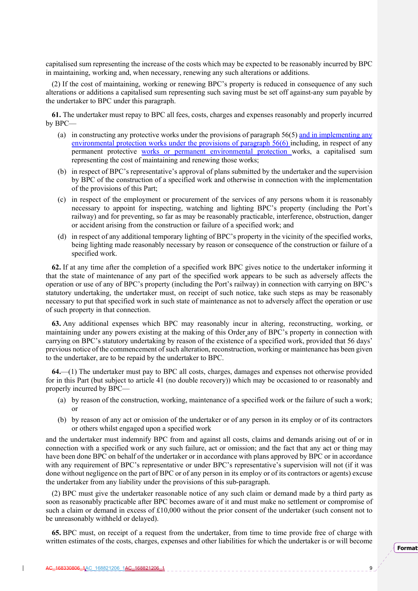capitalised sum representing the increase of the costs which may be expected to be reasonably incurred by BPC in maintaining, working and, when necessary, renewing any such alterations or additions.

(2) If the cost of maintaining, working or renewing BPC's property is reduced in consequence of any such alterations or additions a capitalised sum representing such saving must be set off against-any sum payable by the undertaker to BPC under this paragraph.

**61.** The undertaker must repay to BPC all fees, costs, charges and expenses reasonably and properly incurred by BPC—

- (a) in constructing any protective works under the provisions of paragraph  $56(5)$  and in implementing any environmental protection works under the provisions of paragraph 56(6) including, in respect of any permanent protective works or permanent environmental protection works, a capitalised sum representing the cost of maintaining and renewing those works;
- (b) in respect of BPC's representative's approval of plans submitted by the undertaker and the supervision by BPC of the construction of a specified work and otherwise in connection with the implementation of the provisions of this Part;
- (c) in respect of the employment or procurement of the services of any persons whom it is reasonably necessary to appoint for inspecting, watching and lighting BPC's property (including the Port's railway) and for preventing, so far as may be reasonably practicable, interference, obstruction, danger or accident arising from the construction or failure of a specified work; and
- (d) in respect of any additional temporary lighting of BPC's property in the vicinity of the specified works, being lighting made reasonably necessary by reason or consequence of the construction or failure of a specified work.

**62.** If at any time after the completion of a specified work BPC gives notice to the undertaker informing it that the state of maintenance of any part of the specified work appears to be such as adversely affects the operation or use of any of BPC's property (including the Port's railway) in connection with carrying on BPC's statutory undertaking, the undertaker must, on receipt of such notice, take such steps as may be reasonably necessary to put that specified work in such state of maintenance as not to adversely affect the operation or use of such property in that connection.

**63.** Any additional expenses which BPC may reasonably incur in altering, reconstructing, working, or maintaining under any powers existing at the making of this Order any of BPC's property in connection with carrying on BPC's statutory undertaking by reason of the existence of a specified work, provided that 56 days' previous notice of the commencement of such alteration, reconstruction, working or maintenance has been given to the undertaker, are to be repaid by the undertaker to BPC.

**64.**—(1) The undertaker must pay to BPC all costs, charges, damages and expenses not otherwise provided for in this Part (but subject to article 41 (no double recovery)) which may be occasioned to or reasonably and properly incurred by BPC—

- (a) by reason of the construction, working, maintenance of a specified work or the failure of such a work; or
- (b) by reason of any act or omission of the undertaker or of any person in its employ or of its contractors or others whilst engaged upon a specified work

and the undertaker must indemnify BPC from and against all costs, claims and demands arising out of or in connection with a specified work or any such failure, act or omission; and the fact that any act or thing may have been done BPC on behalf of the undertaker or in accordance with plans approved by BPC or in accordance with any requirement of BPC's representative or under BPC's representative's supervision will not (if it was done without negligence on the part of BPC or of any person in its employ or of its contractors or agents) excuse the undertaker from any liability under the provisions of this sub-paragraph.

(2) BPC must give the undertaker reasonable notice of any such claim or demand made by a third party as soon as reasonably practicable after BPC becomes aware of it and must make no settlement or compromise of such a claim or demand in excess of £10,000 without the prior consent of the undertaker (such consent not to be unreasonably withheld or delayed).

**65.** BPC must, on receipt of a request from the undertaker, from time to time provide free of charge with written estimates of the costs, charges, expenses and other liabilities for which the undertaker is or will become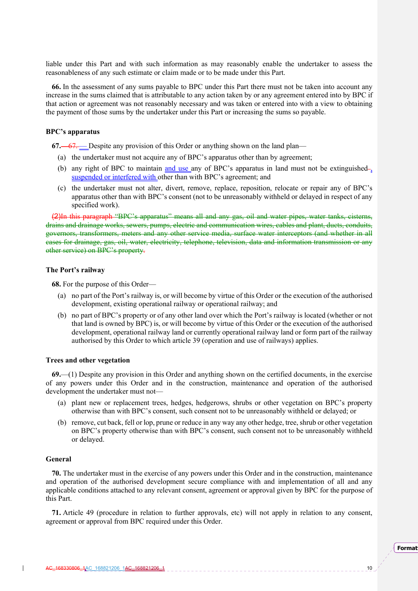liable under this Part and with such information as may reasonably enable the undertaker to assess the reasonableness of any such estimate or claim made or to be made under this Part.

**66.** In the assessment of any sums payable to BPC under this Part there must not be taken into account any increase in the sums claimed that is attributable to any action taken by or any agreement entered into by BPC if that action or agreement was not reasonably necessary and was taken or entered into with a view to obtaining the payment of those sums by the undertaker under this Part or increasing the sums so payable.

#### **BPC's apparatus**

**67.**—67. — Despite any provision of this Order or anything shown on the land plan—

- (a) the undertaker must not acquire any of BPC's apparatus other than by agreement;
- (b) any right of BPC to maintain and use any of BPC's apparatus in land must not be extinguished- $\frac{1}{2}$ suspended or interfered with other than with BPC's agreement; and
- (c) the undertaker must not alter, divert, remove, replace, reposition, relocate or repair any of BPC's apparatus other than with BPC's consent (not to be unreasonably withheld or delayed in respect of any specified work).

(2)In this paragraph "BPC's apparatus" means all and any gas, oil and water pipes, water tanks, cisterns, drains and drainage works, sewers, pumps, electric and communication wires, cables and plant, ducts, conduits, governors, transformers, meters and any other service media, surface water interceptors (and whether in all cases for drainage, gas, oil, water, electricity, telephone, television, data and information transmission or any other service) on BPC's property.

#### **The Port's railway**

**68.** For the purpose of this Order—

- (a) no part of the Port's railway is, or will become by virtue of this Order or the execution of the authorised development, existing operational railway or operational railway; and
- (b) no part of BPC's property or of any other land over which the Port's railway is located (whether or not that land is owned by BPC) is, or will become by virtue of this Order or the execution of the authorised development, operational railway land or currently operational railway land or form part of the railway authorised by this Order to which article 39 (operation and use of railways) applies.

#### **Trees and other vegetation**

**69.**—(1) Despite any provision in this Order and anything shown on the certified documents, in the exercise of any powers under this Order and in the construction, maintenance and operation of the authorised development the undertaker must not—

- (a) plant new or replacement trees, hedges, hedgerows, shrubs or other vegetation on BPC's property otherwise than with BPC's consent, such consent not to be unreasonably withheld or delayed; or
- (b) remove, cut back, fell or lop, prune or reduce in any way any other hedge, tree, shrub or other vegetation on BPC's property otherwise than with BPC's consent, such consent not to be unreasonably withheld or delayed.

#### **General**

**70.** The undertaker must in the exercise of any powers under this Order and in the construction, maintenance and operation of the authorised development secure compliance with and implementation of all and any applicable conditions attached to any relevant consent, agreement or approval given by BPC for the purpose of this Part.

**71.** Article 49 (procedure in relation to further approvals, etc) will not apply in relation to any consent, agreement or approval from BPC required under this Order.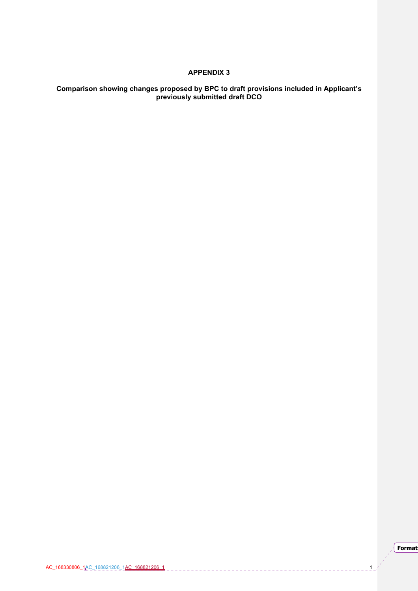## **APPENDIX 3**

## **Comparison showing changes proposed by BPC to draft provisions included in Applicant's previously submitted draft DCO**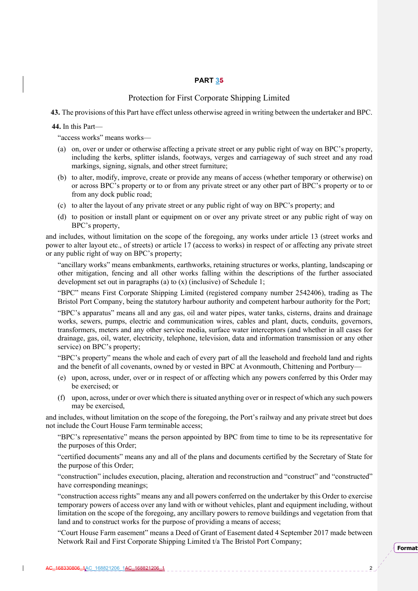## **PART 35**

## Protection for First Corporate Shipping Limited

**43.** The provisions of this Part have effect unless otherwise agreed in writing between the undertaker and BPC.

**44.** In this Part—

"access works" means works—

- (a) on, over or under or otherwise affecting a private street or any public right of way on BPC's property, including the kerbs, splitter islands, footways, verges and carriageway of such street and any road markings, signing, signals, and other street furniture;
- (b) to alter, modify, improve, create or provide any means of access (whether temporary or otherwise) on or across BPC's property or to or from any private street or any other part of BPC's property or to or from any dock public road;
- (c) to alter the layout of any private street or any public right of way on BPC's property; and
- (d) to position or install plant or equipment on or over any private street or any public right of way on BPC's property,

and includes, without limitation on the scope of the foregoing, any works under article 13 (street works and power to alter layout etc., of streets) or article 17 (access to works) in respect of or affecting any private street or any public right of way on BPC's property;

"ancillary works" means embankments, earthworks, retaining structures or works, planting, landscaping or other mitigation, fencing and all other works falling within the descriptions of the further associated development set out in paragraphs (a) to (x) (inclusive) of Schedule 1;

"BPC" means First Corporate Shipping Limited (registered company number 2542406), trading as The Bristol Port Company, being the statutory harbour authority and competent harbour authority for the Port;

"BPC's apparatus" means all and any gas, oil and water pipes, water tanks, cisterns, drains and drainage works, sewers, pumps, electric and communication wires, cables and plant, ducts, conduits, governors, transformers, meters and any other service media, surface water interceptors (and whether in all cases for drainage, gas, oil, water, electricity, telephone, television, data and information transmission or any other service) on BPC's property;

"BPC's property" means the whole and each of every part of all the leasehold and freehold land and rights and the benefit of all covenants, owned by or vested in BPC at Avonmouth, Chittening and Portbury—

- (e) upon, across, under, over or in respect of or affecting which any powers conferred by this Order may be exercised; or
- (f) upon, across, under or over which there is situated anything over or in respect of which any such powers may be exercised,

and includes, without limitation on the scope of the foregoing, the Port's railway and any private street but does not include the Court House Farm terminable access;

"BPC's representative" means the person appointed by BPC from time to time to be its representative for the purposes of this Order;

"certified documents" means any and all of the plans and documents certified by the Secretary of State for the purpose of this Order;

"construction" includes execution, placing, alteration and reconstruction and "construct" and "constructed" have corresponding meanings;

"construction access rights" means any and all powers conferred on the undertaker by this Order to exercise temporary powers of access over any land with or without vehicles, plant and equipment including, without limitation on the scope of the foregoing, any ancillary powers to remove buildings and vegetation from that land and to construct works for the purpose of providing a means of access;

"Court House Farm easement" means a Deed of Grant of Easement dated 4 September 2017 made between Network Rail and First Corporate Shipping Limited t/a The Bristol Port Company;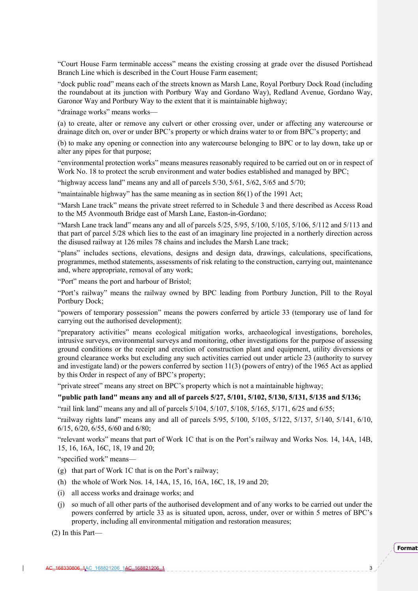"Court House Farm terminable access" means the existing crossing at grade over the disused Portishead Branch Line which is described in the Court House Farm easement;

"dock public road" means each of the streets known as Marsh Lane, Royal Portbury Dock Road (including the roundabout at its junction with Portbury Way and Gordano Way), Redland Avenue, Gordano Way, Garonor Way and Portbury Way to the extent that it is maintainable highway;

"drainage works" means works—

(a) to create, alter or remove any culvert or other crossing over, under or affecting any watercourse or drainage ditch on, over or under BPC's property or which drains water to or from BPC's property; and

(b) to make any opening or connection into any watercourse belonging to BPC or to lay down, take up or alter any pipes for that purpose;

"environmental protection works" means measures reasonably required to be carried out on or in respect of Work No. 18 to protect the scrub environment and water bodies established and managed by BPC;

"highway access land" means any and all of parcels  $5/30$ ,  $5/61$ ,  $5/62$ ,  $5/65$  and  $5/70$ ;

"maintainable highway" has the same meaning as in section 86(1) of the 1991 Act;

"Marsh Lane track" means the private street referred to in Schedule 3 and there described as Access Road to the M5 Avonmouth Bridge east of Marsh Lane, Easton-in-Gordano;

"Marsh Lane track land" means any and all of parcels 5/25, 5/95, 5/100, 5/105, 5/106, 5/112 and 5/113 and that part of parcel 5/28 which lies to the east of an imaginary line projected in a northerly direction across the disused railway at 126 miles 78 chains and includes the Marsh Lane track;

"plans" includes sections, elevations, designs and design data, drawings, calculations, specifications, programmes, method statements, assessments of risk relating to the construction, carrying out, maintenance and, where appropriate, removal of any work;

"Port" means the port and harbour of Bristol;

"Port's railway" means the railway owned by BPC leading from Portbury Junction, Pill to the Royal Portbury Dock;

"powers of temporary possession" means the powers conferred by article 33 (temporary use of land for carrying out the authorised development);

"preparatory activities" means ecological mitigation works, archaeological investigations, boreholes, intrusive surveys, environmental surveys and monitoring, other investigations for the purpose of assessing ground conditions or the receipt and erection of construction plant and equipment, utility diversions or ground clearance works but excluding any such activities carried out under article 23 (authority to survey and investigate land) or the powers conferred by section 11(3) (powers of entry) of the 1965 Act as applied by this Order in respect of any of BPC's property;

"private street" means any street on BPC's property which is not a maintainable highway;

## **"public path land" means any and all of parcels 5/27, 5/101, 5/102, 5/130, 5/131, 5/135 and 5/136;**

"rail link land" means any and all of parcels 5/104, 5/107, 5/108, 5/165, 5/171, 6/25 and 6/55;

"railway rights land" means any and all of parcels 5/95, 5/100, 5/105, 5/122, 5/137, 5/140, 5/141, 6/10, 6/15, 6/20, 6/55, 6/60 and 6/80;

"relevant works" means that part of Work 1C that is on the Port's railway and Works Nos. 14, 14A, 14B, 15, 16, 16A, 16C, 18, 19 and 20;

"specified work" means—

- (g) that part of Work 1C that is on the Port's railway;
- (h) the whole of Work Nos. 14, 14A, 15, 16, 16A, 16C, 18, 19 and 20;
- (i) all access works and drainage works; and
- (j) so much of all other parts of the authorised development and of any works to be carried out under the powers conferred by article 33 as is situated upon, across, under, over or within 5 metres of BPC's property, including all environmental mitigation and restoration measures;

(2) In this Part—

**Format**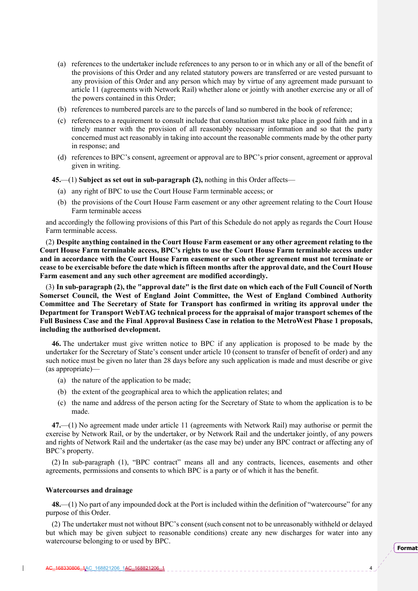- (a) references to the undertaker include references to any person to or in which any or all of the benefit of the provisions of this Order and any related statutory powers are transferred or are vested pursuant to any provision of this Order and any person which may by virtue of any agreement made pursuant to article 11 (agreements with Network Rail) whether alone or jointly with another exercise any or all of the powers contained in this Order;
- (b) references to numbered parcels are to the parcels of land so numbered in the book of reference;
- (c) references to a requirement to consult include that consultation must take place in good faith and in a timely manner with the provision of all reasonably necessary information and so that the party concerned must act reasonably in taking into account the reasonable comments made by the other party in response; and
- (d) references to BPC's consent, agreement or approval are to BPC's prior consent, agreement or approval given in writing.

**45.**—(1) **Subject as set out in sub-paragraph (2),** nothing in this Order affects—

- (a) any right of BPC to use the Court House Farm terminable access; or
- (b) the provisions of the Court House Farm easement or any other agreement relating to the Court House Farm terminable access

and accordingly the following provisions of this Part of this Schedule do not apply as regards the Court House Farm terminable access.

(2) **Despite anything contained in the Court House Farm easement or any other agreement relating to the Court House Farm terminable access, BPC's rights to use the Court House Farm terminable access under and in accordance with the Court House Farm easement or such other agreement must not terminate or cease to be exercisable before the date which is fifteen months after the approval date, and the Court House Farm easement and any such other agreement are modified accordingly.** 

(3) **In sub-paragraph (2), the "approval date" is the first date on which each of the Full Council of North Somerset Council, the West of England Joint Committee, the West of England Combined Authority Committee and The Secretary of State for Transport has confirmed in writing its approval under the Department for Transport WebTAG technical process for the appraisal of major transport schemes of the Full Business Case and the Final Approval Business Case in relation to the MetroWest Phase 1 proposals, including the authorised development.** 

**46.** The undertaker must give written notice to BPC if any application is proposed to be made by the undertaker for the Secretary of State's consent under article 10 (consent to transfer of benefit of order) and any such notice must be given no later than 28 days before any such application is made and must describe or give (as appropriate)—

- (a) the nature of the application to be made;
- (b) the extent of the geographical area to which the application relates; and
- (c) the name and address of the person acting for the Secretary of State to whom the application is to be made.

**47.**—(1) No agreement made under article 11 (agreements with Network Rail) may authorise or permit the exercise by Network Rail, or by the undertaker, or by Network Rail and the undertaker jointly, of any powers and rights of Network Rail and the undertaker (as the case may be) under any BPC contract or affecting any of BPC's property.

(2) In sub-paragraph (1), "BPC contract" means all and any contracts, licences, easements and other agreements, permissions and consents to which BPC is a party or of which it has the benefit.

#### **Watercourses and drainage**

**48.**—(1) No part of any impounded dock at the Port is included within the definition of "watercourse" for any purpose of this Order.

(2) The undertaker must not without BPC's consent (such consent not to be unreasonably withheld or delayed but which may be given subject to reasonable conditions) create any new discharges for water into any watercourse belonging to or used by BPC.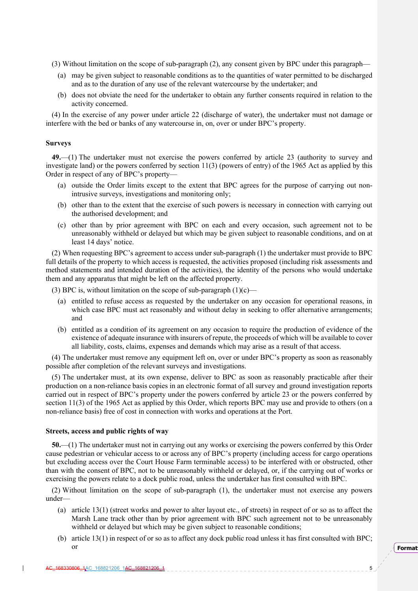(3) Without limitation on the scope of sub-paragraph (2), any consent given by BPC under this paragraph—

- (a) may be given subject to reasonable conditions as to the quantities of water permitted to be discharged and as to the duration of any use of the relevant watercourse by the undertaker; and
- (b) does not obviate the need for the undertaker to obtain any further consents required in relation to the activity concerned.

(4) In the exercise of any power under article 22 (discharge of water), the undertaker must not damage or interfere with the bed or banks of any watercourse in, on, over or under BPC's property.

#### **Surveys**

**49.**—(1) The undertaker must not exercise the powers conferred by article 23 (authority to survey and investigate land) or the powers conferred by section 11(3) (powers of entry) of the 1965 Act as applied by this Order in respect of any of BPC's property—

- (a) outside the Order limits except to the extent that BPC agrees for the purpose of carrying out nonintrusive surveys, investigations and monitoring only;
- (b) other than to the extent that the exercise of such powers is necessary in connection with carrying out the authorised development; and
- (c) other than by prior agreement with BPC on each and every occasion, such agreement not to be unreasonably withheld or delayed but which may be given subject to reasonable conditions, and on at least 14 days' notice.

(2) When requesting BPC's agreement to access under sub-paragraph (1) the undertaker must provide to BPC full details of the property to which access is requested, the activities proposed (including risk assessments and method statements and intended duration of the activities), the identity of the persons who would undertake them and any apparatus that might be left on the affected property.

(3) BPC is, without limitation on the scope of sub-paragraph  $(1)(c)$ —

- (a) entitled to refuse access as requested by the undertaker on any occasion for operational reasons, in which case BPC must act reasonably and without delay in seeking to offer alternative arrangements; and
- (b) entitled as a condition of its agreement on any occasion to require the production of evidence of the existence of adequate insurance with insurers of repute, the proceeds of which will be available to cover all liability, costs, claims, expenses and demands which may arise as a result of that access.

(4) The undertaker must remove any equipment left on, over or under BPC's property as soon as reasonably possible after completion of the relevant surveys and investigations.

(5) The undertaker must, at its own expense, deliver to BPC as soon as reasonably practicable after their production on a non-reliance basis copies in an electronic format of all survey and ground investigation reports carried out in respect of BPC's property under the powers conferred by article 23 or the powers conferred by section 11(3) of the 1965 Act as applied by this Order, which reports BPC may use and provide to others (on a non-reliance basis) free of cost in connection with works and operations at the Port.

#### **Streets, access and public rights of way**

**50.**—(1) The undertaker must not in carrying out any works or exercising the powers conferred by this Order cause pedestrian or vehicular access to or across any of BPC's property (including access for cargo operations but excluding access over the Court House Farm terminable access) to be interfered with or obstructed, other than with the consent of BPC, not to be unreasonably withheld or delayed, or, if the carrying out of works or exercising the powers relate to a dock public road, unless the undertaker has first consulted with BPC.

(2) Without limitation on the scope of sub-paragraph (1), the undertaker must not exercise any powers under—

- (a) article 13(1) (street works and power to alter layout etc., of streets) in respect of or so as to affect the Marsh Lane track other than by prior agreement with BPC such agreement not to be unreasonably withheld or delayed but which may be given subject to reasonable conditions;
- (b) article 13(1) in respect of or so as to affect any dock public road unless it has first consulted with BPC; or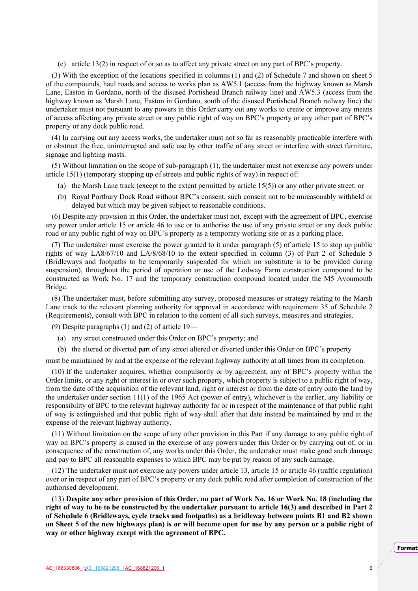(c) article 13(2) in respect of or so as to affect any private street on any part of BPC's property.

(3) With the exception of the locations specified in columns (1) and (2) of Schedule 7 and shown on sheet 5 of the compounds, haul roads and access to works plan as AW5.1 (access from the highway known as Marsh Lane, Easton in Gordano, north of the disused Portishead Branch railway line) and AW5.3 (access from the highway known as Marsh Lane, Easton in Gordano, south of the disused Portishead Branch railway line) the undertaker must not pursuant to any powers in this Order carry out any works to create or improve any means of access affecting any private street or any public right of way on BPC's property or any other part of BPC's property or any dock public road.

(4) In carrying out any access works, the undertaker must not so far as reasonably practicable interfere with or obstruct the free, uninterrupted and safe use by other traffic of any street or interfere with street furniture, signage and lighting masts.

(5) Without limitation on the scope of sub-paragraph (1), the undertaker must not exercise any powers under article 15(1) (temporary stopping up of streets and public rights of way) in respect of:

- (a) the Marsh Lane track (except to the extent permitted by article 15(5)) or any other private street; or
- (b) Royal Portbury Dock Road without BPC's consent, such consent not to be unreasonably withheld or delayed but which may be given subject to reasonable conditions.

(6) Despite any provision in this Order, the undertaker must not, except with the agreement of BPC, exercise any power under article 15 or article 46 to use or to authorise the use of any private street or any dock public road or any public right of way on BPC's property as a temporary working site or as a parking place.

(7) The undertaker must exercise the power granted to it under paragraph (5) of article 15 to stop up public rights of way LA8/67/10 and LA/8/68/10 to the extent specified in column (3) of Part 2 of Schedule 5 (Bridleways and footpaths to be temporarily suspended for which no substitute is to be provided during suspension), throughout the period of operation or use of the Lodway Farm construction compound to be constructed as Work No. 17 and the temporary construction compound located under the M5 Avonmouth Bridge.

(8) The undertaker must, before submitting any survey, proposed measures or strategy relating to the Marsh Lane track to the relevant planning authority for approval in accordance with requirement 35 of Schedule 2 (Requirements), consult with BPC in relation to the content of all such surveys, measures and strategies.

(9) Despite paragraphs (1) and (2) of article 19—

- (a) any street constructed under this Order on BPC's property; and
- (b) the altered or diverted part of any street altered or diverted under this Order on BPC's property

must be maintained by and at the expense of the relevant highway authority at all times from its completion.

(10) If the undertaker acquires, whether compulsorily or by agreement, any of BPC's property within the Order limits, or any right or interest in or over such property, which property is subject to a public right of way, from the date of the acquisition of the relevant land, right or interest or from the date of entry onto the land by the undertaker under section 11(1) of the 1965 Act (power of entry), whichever is the earlier, any liability or responsibility of BPC to the relevant highway authority for or in respect of the maintenance of that public right of way is extinguished and that public right of way shall after that date instead be maintained by and at the expense of the relevant highway authority.

(11) Without limitation on the scope of any other provision in this Part if any damage to any public right of way on BPC's property is caused in the exercise of any powers under this Order or by carrying out of, or in consequence of the construction of, any works under this Order, the undertaker must make good such damage and pay to BPC all reasonable expenses to which BPC may be put by reason of any such damage.

(12) The undertaker must not exercise any powers under article 13, article 15 or article 46 (traffic regulation) over or in respect of any part of BPC's property or any dock public road after completion of construction of the authorised development.

(13) **Despite any other provision of this Order, no part of Work No. 16 or Work No. 18 (including the right of way to be to be constructed by the undertaker pursuant to article 16(3) and described in Part 2 of Schedule 6 (Bridleways, cycle tracks and footpaths) as a bridleway between points B1 and B2 shown on Sheet 5 of the new highways plan) is or will become open for use by any person or a public right of way or other highway except with the agreement of BPC.**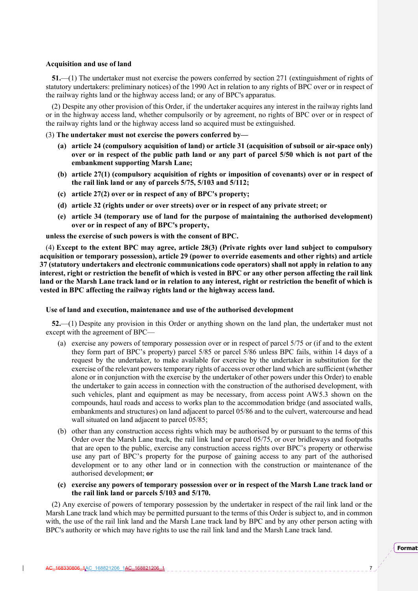#### **Acquisition and use of land**

**51.**—(1) The undertaker must not exercise the powers conferred by section 271 (extinguishment of rights of statutory undertakers: preliminary notices) of the 1990 Act in relation to any rights of BPC over or in respect of the railway rights land or the highway access land; or any of BPC's apparatus.

(2) Despite any other provision of this Order, if the undertaker acquires any interest in the railway rights land or in the highway access land, whether compulsorily or by agreement, no rights of BPC over or in respect of the railway rights land or the highway access land so acquired must be extinguished.

- (3) **The undertaker must not exercise the powers conferred by—** 
	- **(a) article 24 (compulsory acquisition of land) or article 31 (acquisition of subsoil or air-space only) over or in respect of the public path land or any part of parcel 5/50 which is not part of the embankment supporting Marsh Lane;**
	- **(b) article 27(1) (compulsory acquisition of rights or imposition of covenants) over or in respect of the rail link land or any of parcels 5/75, 5/103 and 5/112;**
	- **(c) article 27(2) over or in respect of any of BPC's property;**
	- **(d) article 32 (rights under or over streets) over or in respect of any private street; or**
	- **(e) article 34 (temporary use of land for the purpose of maintaining the authorised development) over or in respect of any of BPC's property,**

**unless the exercise of such powers is with the consent of BPC.**

(4) **Except to the extent BPC may agree, article 28(3) (Private rights over land subject to compulsory acquisition or temporary possession), article 29 (power to override easements and other rights) and article 37 (statutory undertakers and electronic communications code operators) shall not apply in relation to any interest, right or restriction the benefit of which is vested in BPC or any other person affecting the rail link land or the Marsh Lane track land or in relation to any interest, right or restriction the benefit of which is vested in BPC affecting the railway rights land or the highway access land.** 

#### **Use of land and execution, maintenance and use of the authorised development**

**52.**—(1) Despite any provision in this Order or anything shown on the land plan, the undertaker must not except with the agreement of BPC—

- (a) exercise any powers of temporary possession over or in respect of parcel 5/75 or (if and to the extent they form part of BPC's property) parcel 5/85 or parcel 5/86 unless BPC fails, within 14 days of a request by the undertaker, to make available for exercise by the undertaker in substitution for the exercise of the relevant powers temporary rights of access over other land which are sufficient (whether alone or in conjunction with the exercise by the undertaker of other powers under this Order) to enable the undertaker to gain access in connection with the construction of the authorised development, with such vehicles, plant and equipment as may be necessary, from access point AW5.3 shown on the compounds, haul roads and access to works plan to the accommodation bridge (and associated walls, embankments and structures) on land adjacent to parcel 05/86 and to the culvert, watercourse and head wall situated on land adjacent to parcel 05/85;
- (b) other than any construction access rights which may be authorised by or pursuant to the terms of this Order over the Marsh Lane track, the rail link land or parcel 05/75, or over bridleways and footpaths that are open to the public, exercise any construction access rights over BPC's property or otherwise use any part of BPC's property for the purpose of gaining access to any part of the authorised development or to any other land or in connection with the construction or maintenance of the authorised development; **or**
- **(c) exercise any powers of temporary possession over or in respect of the Marsh Lane track land or the rail link land or parcels 5/103 and 5/170.**

(2) Any exercise of powers of temporary possession by the undertaker in respect of the rail link land or the Marsh Lane track land which may be permitted pursuant to the terms of this Order is subject to, and in common with, the use of the rail link land and the Marsh Lane track land by BPC and by any other person acting with BPC's authority or which may have rights to use the rail link land and the Marsh Lane track land.

**Format**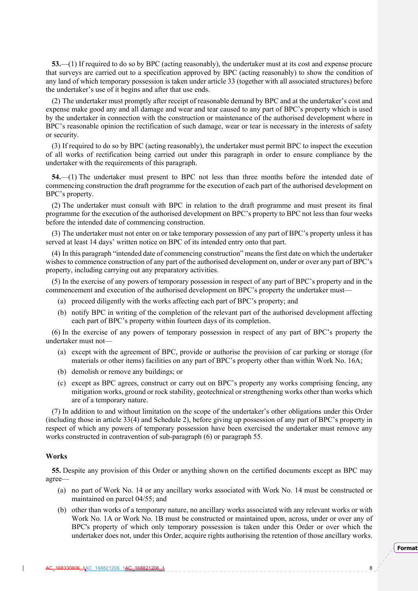**53.**—(1) If required to do so by BPC (acting reasonably), the undertaker must at its cost and expense procure that surveys are carried out to a specification approved by BPC (acting reasonably) to show the condition of any land of which temporary possession is taken under article 33 (together with all associated structures) before the undertaker's use of it begins and after that use ends.

(2) The undertaker must promptly after receipt of reasonable demand by BPC and at the undertaker's cost and expense make good any and all damage and wear and tear caused to any part of BPC's property which is used by the undertaker in connection with the construction or maintenance of the authorised development where in BPC's reasonable opinion the rectification of such damage, wear or tear is necessary in the interests of safety or security.

(3) If required to do so by BPC (acting reasonably), the undertaker must permit BPC to inspect the execution of all works of rectification being carried out under this paragraph in order to ensure compliance by the undertaker with the requirements of this paragraph.

**54.**—(1) The undertaker must present to BPC not less than three months before the intended date of commencing construction the draft programme for the execution of each part of the authorised development on BPC's property.

(2) The undertaker must consult with BPC in relation to the draft programme and must present its final programme for the execution of the authorised development on BPC's property to BPC not less than four weeks before the intended date of commencing construction.

(3) The undertaker must not enter on or take temporary possession of any part of BPC's property unless it has served at least 14 days' written notice on BPC of its intended entry onto that part.

(4) In this paragraph "intended date of commencing construction" means the first date on which the undertaker wishes to commence construction of any part of the authorised development on, under or over any part of BPC's property, including carrying out any preparatory activities.

(5) In the exercise of any powers of temporary possession in respect of any part of BPC's property and in the commencement and execution of the authorised development on BPC's property the undertaker must-

- (a) proceed diligently with the works affecting each part of BPC's property; and
- (b) notify BPC in writing of the completion of the relevant part of the authorised development affecting each part of BPC's property within fourteen days of its completion.

(6) In the exercise of any powers of temporary possession in respect of any part of BPC's property the undertaker must not—

- (a) except with the agreement of BPC, provide or authorise the provision of car parking or storage (for materials or other items) facilities on any part of BPC's property other than within Work No. 16A;
- (b) demolish or remove any buildings; or
- (c) except as BPC agrees, construct or carry out on BPC's property any works comprising fencing, any mitigation works, ground or rock stability, geotechnical or strengthening works other than works which are of a temporary nature.

(7) In addition to and without limitation on the scope of the undertaker's other obligations under this Order (including those in article 33(4) and Schedule 2), before giving up possession of any part of BPC's property in respect of which any powers of temporary possession have been exercised the undertaker must remove any works constructed in contravention of sub-paragraph (6) or paragraph 55.

#### **Works**

**55.** Despite any provision of this Order or anything shown on the certified documents except as BPC may agree—

- (a) no part of Work No. 14 or any ancillary works associated with Work No. 14 must be constructed or maintained on parcel 04/55; and
- (b) other than works of a temporary nature, no ancillary works associated with any relevant works or with Work No. 1A or Work No. 1B must be constructed or maintained upon, across, under or over any of BPC's property of which only temporary possession is taken under this Order or over which the undertaker does not, under this Order, acquire rights authorising the retention of those ancillary works.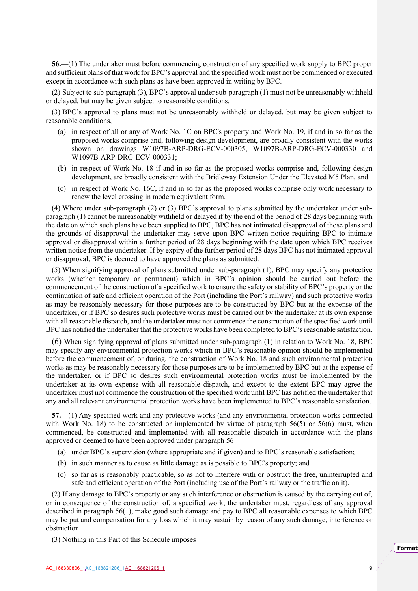**56.**—(1) The undertaker must before commencing construction of any specified work supply to BPC proper and sufficient plans of that work for BPC's approval and the specified work must not be commenced or executed except in accordance with such plans as have been approved in writing by BPC.

(2) Subject to sub-paragraph (3), BPC's approval under sub-paragraph (1) must not be unreasonably withheld or delayed, but may be given subject to reasonable conditions.

(3) BPC's approval to plans must not be unreasonably withheld or delayed, but may be given subject to reasonable conditions,—

- (a) in respect of all or any of Work No. 1C on BPC's property and Work No. 19, if and in so far as the proposed works comprise and, following design development, are broadly consistent with the works shown on drawings W1097B-ARP-DRG-ECV-000305, W1097B-ARP-DRG-ECV-000330 and W1097B-ARP-DRG-ECV-000331;
- (b) in respect of Work No. 18 if and in so far as the proposed works comprise and, following design development, are broadly consistent with the Bridleway Extension Under the Elevated M5 Plan, and
- (c) in respect of Work No. 16C, if and in so far as the proposed works comprise only work necessary to renew the level crossing in modern equivalent form.

(4) Where under sub-paragraph (2) or (3) BPC's approval to plans submitted by the undertaker under subparagraph (1) cannot be unreasonably withheld or delayed if by the end of the period of 28 days beginning with the date on which such plans have been supplied to BPC, BPC has not intimated disapproval of those plans and the grounds of disapproval the undertaker may serve upon BPC written notice requiring BPC to intimate approval or disapproval within a further period of 28 days beginning with the date upon which BPC receives written notice from the undertaker. If by expiry of the further period of 28 days BPC has not intimated approval or disapproval, BPC is deemed to have approved the plans as submitted.

(5) When signifying approval of plans submitted under sub-paragraph (1), BPC may specify any protective works (whether temporary or permanent) which in BPC's opinion should be carried out before the commencement of the construction of a specified work to ensure the safety or stability of BPC's property or the continuation of safe and efficient operation of the Port (including the Port's railway) and such protective works as may be reasonably necessary for those purposes are to be constructed by BPC but at the expense of the undertaker, or if BPC so desires such protective works must be carried out by the undertaker at its own expense with all reasonable dispatch, and the undertaker must not commence the construction of the specified work until BPC has notified the undertaker that the protective works have been completed to BPC's reasonable satisfaction.

(6) When signifying approval of plans submitted under sub-paragraph (1) in relation to Work No. 18, BPC may specify any environmental protection works which in BPC's reasonable opinion should be implemented before the commencement of, or during, the construction of Work No. 18 and such environmental protection works as may be reasonably necessary for those purposes are to be implemented by BPC but at the expense of the undertaker, or if BPC so desires such environmental protection works must be implemented by the undertaker at its own expense with all reasonable dispatch, and except to the extent BPC may agree the undertaker must not commence the construction of the specified work until BPC has notified the undertaker that any and all relevant environmental protection works have been implemented to BPC's reasonable satisfaction.

**57.**—(1) Any specified work and any protective works (and any environmental protection works connected with Work No. 18) to be constructed or implemented by virtue of paragraph 56(5) or 56(6) must, when commenced, be constructed and implemented with all reasonable dispatch in accordance with the plans approved or deemed to have been approved under paragraph 56—

- (a) under BPC's supervision (where appropriate and if given) and to BPC's reasonable satisfaction;
- (b) in such manner as to cause as little damage as is possible to BPC's property; and
- (c) so far as is reasonably practicable, so as not to interfere with or obstruct the free, uninterrupted and safe and efficient operation of the Port (including use of the Port's railway or the traffic on it).

(2) If any damage to BPC's property or any such interference or obstruction is caused by the carrying out of, or in consequence of the construction of, a specified work, the undertaker must, regardless of any approval described in paragraph 56(1), make good such damage and pay to BPC all reasonable expenses to which BPC may be put and compensation for any loss which it may sustain by reason of any such damage, interference or obstruction.

(3) Nothing in this Part of this Schedule imposes—

**Format**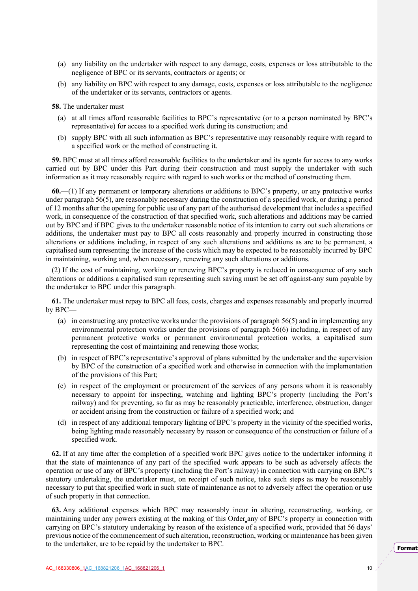- (a) any liability on the undertaker with respect to any damage, costs, expenses or loss attributable to the negligence of BPC or its servants, contractors or agents; or
- (b) any liability on BPC with respect to any damage, costs, expenses or loss attributable to the negligence of the undertaker or its servants, contractors or agents.

**58.** The undertaker must—

- (a) at all times afford reasonable facilities to BPC's representative (or to a person nominated by BPC's representative) for access to a specified work during its construction; and
- (b) supply BPC with all such information as BPC's representative may reasonably require with regard to a specified work or the method of constructing it.

**59.** BPC must at all times afford reasonable facilities to the undertaker and its agents for access to any works carried out by BPC under this Part during their construction and must supply the undertaker with such information as it may reasonably require with regard to such works or the method of constructing them.

**60.**—(1) If any permanent or temporary alterations or additions to BPC's property, or any protective works under paragraph 56(5), are reasonably necessary during the construction of a specified work, or during a period of 12 months after the opening for public use of any part of the authorised development that includes a specified work, in consequence of the construction of that specified work, such alterations and additions may be carried out by BPC and if BPC gives to the undertaker reasonable notice of its intention to carry out such alterations or additions, the undertaker must pay to BPC all costs reasonably and properly incurred in constructing those alterations or additions including, in respect of any such alterations and additions as are to be permanent, a capitalised sum representing the increase of the costs which may be expected to be reasonably incurred by BPC in maintaining, working and, when necessary, renewing any such alterations or additions.

(2) If the cost of maintaining, working or renewing BPC's property is reduced in consequence of any such alterations or additions a capitalised sum representing such saving must be set off against-any sum payable by the undertaker to BPC under this paragraph.

**61.** The undertaker must repay to BPC all fees, costs, charges and expenses reasonably and properly incurred by BPC—

- (a) in constructing any protective works under the provisions of paragraph 56(5) and in implementing any environmental protection works under the provisions of paragraph 56(6) including, in respect of any permanent protective works or permanent environmental protection works, a capitalised sum representing the cost of maintaining and renewing those works;
- (b) in respect of BPC's representative's approval of plans submitted by the undertaker and the supervision by BPC of the construction of a specified work and otherwise in connection with the implementation of the provisions of this Part;
- (c) in respect of the employment or procurement of the services of any persons whom it is reasonably necessary to appoint for inspecting, watching and lighting BPC's property (including the Port's railway) and for preventing, so far as may be reasonably practicable, interference, obstruction, danger or accident arising from the construction or failure of a specified work; and
- (d) in respect of any additional temporary lighting of BPC's property in the vicinity of the specified works, being lighting made reasonably necessary by reason or consequence of the construction or failure of a specified work.

**62.** If at any time after the completion of a specified work BPC gives notice to the undertaker informing it that the state of maintenance of any part of the specified work appears to be such as adversely affects the operation or use of any of BPC's property (including the Port's railway) in connection with carrying on BPC's statutory undertaking, the undertaker must, on receipt of such notice, take such steps as may be reasonably necessary to put that specified work in such state of maintenance as not to adversely affect the operation or use of such property in that connection.

**63.** Any additional expenses which BPC may reasonably incur in altering, reconstructing, working, or maintaining under any powers existing at the making of this Order any of BPC's property in connection with carrying on BPC's statutory undertaking by reason of the existence of a specified work, provided that 56 days' previous notice of the commencement of such alteration, reconstruction, working or maintenance has been given to the undertaker, are to be repaid by the undertaker to BPC.

**Format**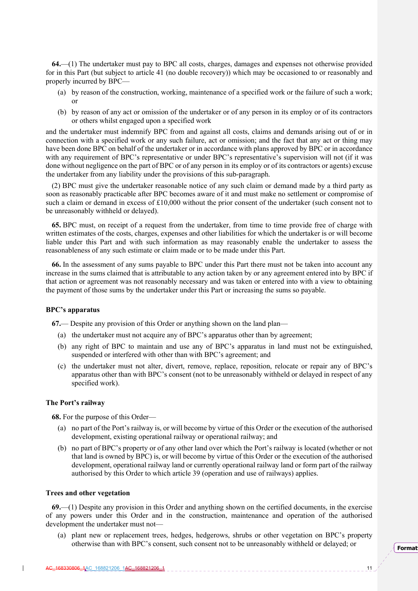**64.**—(1) The undertaker must pay to BPC all costs, charges, damages and expenses not otherwise provided for in this Part (but subject to article 41 (no double recovery)) which may be occasioned to or reasonably and properly incurred by BPC—

- (a) by reason of the construction, working, maintenance of a specified work or the failure of such a work; or
- (b) by reason of any act or omission of the undertaker or of any person in its employ or of its contractors or others whilst engaged upon a specified work

and the undertaker must indemnify BPC from and against all costs, claims and demands arising out of or in connection with a specified work or any such failure, act or omission; and the fact that any act or thing may have been done BPC on behalf of the undertaker or in accordance with plans approved by BPC or in accordance with any requirement of BPC's representative or under BPC's representative's supervision will not (if it was done without negligence on the part of BPC or of any person in its employ or of its contractors or agents) excuse the undertaker from any liability under the provisions of this sub-paragraph.

(2) BPC must give the undertaker reasonable notice of any such claim or demand made by a third party as soon as reasonably practicable after BPC becomes aware of it and must make no settlement or compromise of such a claim or demand in excess of £10,000 without the prior consent of the undertaker (such consent not to be unreasonably withheld or delayed).

**65.** BPC must, on receipt of a request from the undertaker, from time to time provide free of charge with written estimates of the costs, charges, expenses and other liabilities for which the undertaker is or will become liable under this Part and with such information as may reasonably enable the undertaker to assess the reasonableness of any such estimate or claim made or to be made under this Part.

**66.** In the assessment of any sums payable to BPC under this Part there must not be taken into account any increase in the sums claimed that is attributable to any action taken by or any agreement entered into by BPC if that action or agreement was not reasonably necessary and was taken or entered into with a view to obtaining the payment of those sums by the undertaker under this Part or increasing the sums so payable.

#### **BPC's apparatus**

**67.**— Despite any provision of this Order or anything shown on the land plan—

- (a) the undertaker must not acquire any of BPC's apparatus other than by agreement;
- (b) any right of BPC to maintain and use any of BPC's apparatus in land must not be extinguished, suspended or interfered with other than with BPC's agreement; and
- (c) the undertaker must not alter, divert, remove, replace, reposition, relocate or repair any of BPC's apparatus other than with BPC's consent (not to be unreasonably withheld or delayed in respect of any specified work).

## **The Port's railway**

**68.** For the purpose of this Order—

- (a) no part of the Port's railway is, or will become by virtue of this Order or the execution of the authorised development, existing operational railway or operational railway; and
- (b) no part of BPC's property or of any other land over which the Port's railway is located (whether or not that land is owned by BPC) is, or will become by virtue of this Order or the execution of the authorised development, operational railway land or currently operational railway land or form part of the railway authorised by this Order to which article 39 (operation and use of railways) applies.

#### **Trees and other vegetation**

**69.**—(1) Despite any provision in this Order and anything shown on the certified documents, in the exercise of any powers under this Order and in the construction, maintenance and operation of the authorised development the undertaker must not—

(a) plant new or replacement trees, hedges, hedgerows, shrubs or other vegetation on BPC's property otherwise than with BPC's consent, such consent not to be unreasonably withheld or delayed; or